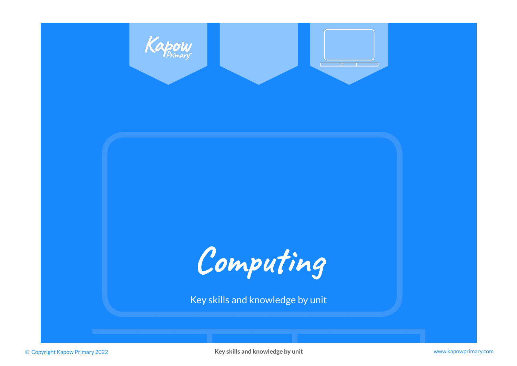

© Copyright Kapow Primary 2022 **Key skills and knowledge by unit** www.kapowprimary.com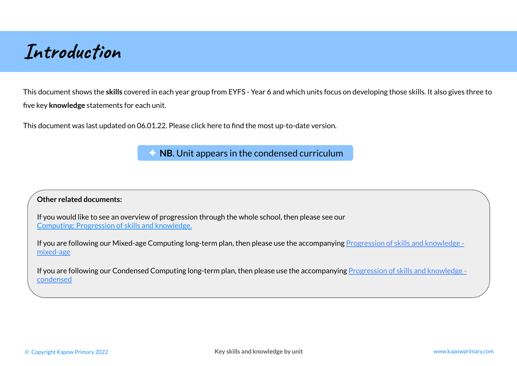**Introduction**

This document shows the **skills** covered in each year group from EYFS - Year 6 and which units focus on developing those skills. It also gives three to five key **knowledge** statements for each unit.

This document was last updated on 06.01.22. Please click here to find the most up-to-date version.

**NB.** Unit appears in the condensed curriculum

## **Other related documents:**

If you would like to see an overview of progression through the whole school, then please see our [Computing: Progression of skills and knowledge.](https://www.kapowprimary.com/featured_documents/subject-leader-overview-computing-progression-of-skills-and-knowledge/)

If you are following our Mixed-age Computing long-term plan, then please use the accompanying [Progression of skills and knowledge](https://www.kapowprimary.com/featured_documents/computing-progression-of-skills-with-knowledge-mixed-age/)  [mixed-age](https://www.kapowprimary.com/featured_documents/computing-progression-of-skills-with-knowledge-mixed-age/)

If you are following our Condensed Computing long-term plan, then please use the accompanying [Progression of skills and knowledge](https://www.kapowprimary.com/featured_documents/subject-leader-overview-computing-condensed-progression-of-skills-with-knowledge/)  [condensed](https://www.kapowprimary.com/featured_documents/subject-leader-overview-computing-condensed-progression-of-skills-with-knowledge/)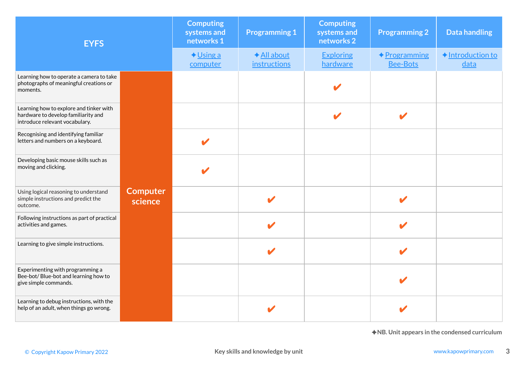| <b>EYFS</b>                                                                                                      |                            | <b>Computing</b><br>systems and<br>networks 1 | <b>Programming 1</b>               | <b>Computing</b><br>systems and<br>networks 2 | <b>Programming 2</b>            | <b>Data handling</b>                          |
|------------------------------------------------------------------------------------------------------------------|----------------------------|-----------------------------------------------|------------------------------------|-----------------------------------------------|---------------------------------|-----------------------------------------------|
|                                                                                                                  |                            | $\bigstar$ Using a<br>computer                | ◆ All about<br><i>instructions</i> | <b>Exploring</b><br>hardware                  | ◆Programming<br><b>Bee-Bots</b> | ◆ Introduction to<br>data                     |
| Learning how to operate a camera to take<br>photographs of meaningful creations or<br>moments.                   |                            |                                               |                                    |                                               |                                 |                                               |
| Learning how to explore and tinker with<br>hardware to develop familiarity and<br>introduce relevant vocabulary. |                            |                                               |                                    |                                               | V                               |                                               |
| Recognising and identifying familiar<br>letters and numbers on a keyboard.                                       |                            | $\boldsymbol{\mathscr{L}}$                    |                                    |                                               |                                 |                                               |
| Developing basic mouse skills such as<br>moving and clicking.                                                    |                            |                                               |                                    |                                               |                                 |                                               |
| Using logical reasoning to understand<br>simple instructions and predict the<br>outcome.                         | <b>Computer</b><br>science |                                               |                                    |                                               | V                               |                                               |
| Following instructions as part of practical<br>activities and games.                                             |                            |                                               |                                    |                                               |                                 |                                               |
| Learning to give simple instructions.                                                                            |                            |                                               |                                    |                                               |                                 |                                               |
| Experimenting with programming a<br>Bee-bot/Blue-bot and learning how to<br>give simple commands.                |                            |                                               |                                    |                                               |                                 |                                               |
| Learning to debug instructions, with the<br>help of an adult, when things go wrong.                              |                            |                                               |                                    |                                               |                                 |                                               |
|                                                                                                                  |                            |                                               |                                    |                                               |                                 | ◆NB. Unit appears in the condensed curriculum |
| © Copyright Kapow Primary 2022                                                                                   |                            |                                               | Key skills and knowledge by unit   |                                               |                                 | www.kapowprimary.com                          |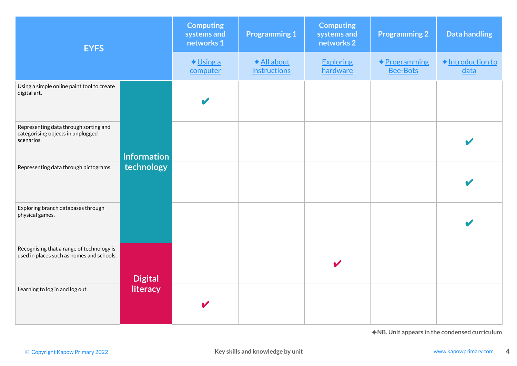| <b>EYFS</b>                                                                              |                    | <b>Computing</b><br>systems and<br>networks 1 | <b>Programming 1</b>               | <b>Computing</b><br>systems and<br>networks 2 | <b>Programming 2</b>                    | <b>Data handling</b>                          |
|------------------------------------------------------------------------------------------|--------------------|-----------------------------------------------|------------------------------------|-----------------------------------------------|-----------------------------------------|-----------------------------------------------|
|                                                                                          |                    | $\bigstar$ Using a<br>computer                | ◆ All about<br><i>instructions</i> | <b>Exploring</b><br>hardware                  | <b>← Programming</b><br><b>Bee-Bots</b> | ◆ Introduction to<br>data                     |
| Using a simple online paint tool to create<br>digital art.                               |                    | $\blacktriangledown$                          |                                    |                                               |                                         |                                               |
| Representing data through sorting and<br>categorising objects in unplugged<br>scenarios. | <b>Information</b> |                                               |                                    |                                               |                                         |                                               |
| Representing data through pictograms.                                                    | technology         |                                               |                                    |                                               |                                         |                                               |
| Exploring branch databases through<br>physical games.                                    |                    |                                               |                                    |                                               |                                         |                                               |
| Recognising that a range of technology is<br>used in places such as homes and schools.   | <b>Digital</b>     |                                               |                                    |                                               |                                         |                                               |
| Learning to log in and log out.                                                          | literacy           | V                                             |                                    |                                               |                                         |                                               |
|                                                                                          |                    |                                               |                                    |                                               |                                         | ◆NB. Unit appears in the condensed curriculum |
| © Copyright Kapow Primary 2022                                                           |                    |                                               | Key skills and knowledge by unit   |                                               |                                         | www.kapowprimary.com                          |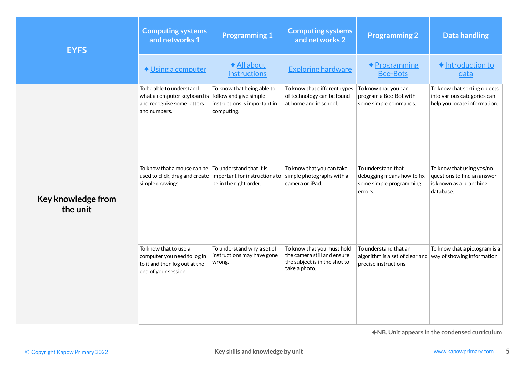| <b>EYFS</b>                    | <b>Computing systems</b><br>and networks 1                                                                                                       | <b>Programming 1</b>                                                     | <b>Computing systems</b><br>and networks 2                                                                  | <b>Programming 2</b>                                                                                                  | <b>Data handling</b>                                                                             |
|--------------------------------|--------------------------------------------------------------------------------------------------------------------------------------------------|--------------------------------------------------------------------------|-------------------------------------------------------------------------------------------------------------|-----------------------------------------------------------------------------------------------------------------------|--------------------------------------------------------------------------------------------------|
|                                | $\bigstar$ Using a computer                                                                                                                      | ◆ All about<br>instructions                                              | <b>Exploring hardware</b>                                                                                   | <u> ◆ Programming</u><br><b>Bee-Bots</b>                                                                              | ◆ Introduction to<br>data                                                                        |
|                                | To be able to understand<br>what a computer keyboard is follow and give simple<br>and recognise some letters<br>and numbers.                     | To know that being able to<br>instructions is important in<br>computing. | To know that different types<br>of technology can be found<br>at home and in school.                        | To know that you can<br>program a Bee-Bot with<br>some simple commands.                                               | To know that sorting objects<br>into various categories can<br>help you locate information.      |
| Key knowledge from<br>the unit | To know that a mouse can be $\vert$ To understand that it is<br>used to click, drag and create important for instructions to<br>simple drawings. | be in the right order.                                                   | To know that you can take<br>simple photographs with a<br>camera or iPad.                                   | To understand that<br>debugging means how to fix<br>some simple programming<br>errors.                                | To know that using yes/no<br>questions to find an answer<br>is known as a branching<br>database. |
|                                | To know that to use a<br>computer you need to log in<br>to it and then log out at the<br>end of your session.                                    | To understand why a set of<br>instructions may have gone<br>wrong.       | To know that you must hold<br>the camera still and ensure<br>the subject is in the shot to<br>take a photo. | To understand that an<br>algorithm is a set of clear and $\vert$ way of showing information.<br>precise instructions. | To know that a pictogram is a                                                                    |
|                                |                                                                                                                                                  |                                                                          |                                                                                                             |                                                                                                                       | ◆NB. Unit appears in the condensed curriculum                                                    |
| © Copyright Kapow Primary 2022 |                                                                                                                                                  | Key skills and knowledge by unit                                         |                                                                                                             |                                                                                                                       | www.kapowprimary.com                                                                             |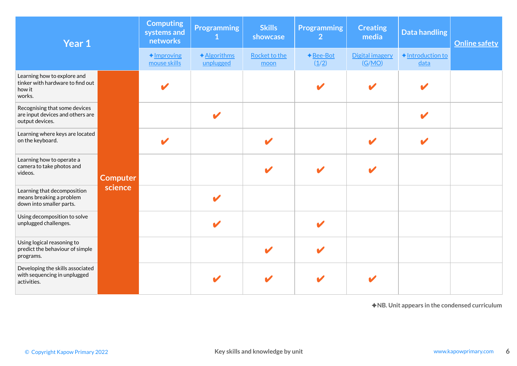| Year 1                                                                               |                 |                                       | <b>Programming</b><br>1   | <b>Skills</b><br>showcase        | <b>Programming</b><br>$\overline{2}$ | <b>Creating</b><br>media  | <b>Data handling</b>                          | <b>Online safety</b> |
|--------------------------------------------------------------------------------------|-----------------|---------------------------------------|---------------------------|----------------------------------|--------------------------------------|---------------------------|-----------------------------------------------|----------------------|
|                                                                                      |                 | $\triangle$ Improving<br>mouse skills | ◆ Algorithms<br>unplugged | Rocket to the<br>moon            | ◆ Bee-Bot<br>(1/2)                   | Digital imagery<br>(G/MO) | ◆ Introduction to<br>data                     |                      |
| Learning how to explore and<br>tinker with hardware to find out<br>how it<br>works.  |                 |                                       |                           |                                  |                                      |                           |                                               |                      |
| Recognising that some devices<br>are input devices and others are<br>output devices. |                 |                                       |                           |                                  |                                      |                           |                                               |                      |
| Learning where keys are located<br>on the keyboard.                                  |                 |                                       |                           |                                  |                                      |                           |                                               |                      |
| Learning how to operate a<br>camera to take photos and<br>videos.                    | <b>Computer</b> |                                       |                           |                                  |                                      |                           |                                               |                      |
| Learning that decomposition<br>means breaking a problem<br>down into smaller parts.  | science         |                                       |                           |                                  |                                      |                           |                                               |                      |
| Using decomposition to solve<br>unplugged challenges.                                |                 |                                       |                           |                                  | $\boldsymbol{\mathscr{L}}$           |                           |                                               |                      |
| Using logical reasoning to<br>predict the behaviour of simple<br>programs.           |                 |                                       |                           |                                  | V                                    |                           |                                               |                      |
| Developing the skills associated<br>with sequencing in unplugged<br>activities.      |                 |                                       |                           |                                  |                                      |                           |                                               |                      |
|                                                                                      |                 |                                       |                           |                                  |                                      |                           | ◆NB. Unit appears in the condensed curriculum |                      |
|                                                                                      |                 |                                       |                           |                                  |                                      |                           |                                               |                      |
| © Copyright Kapow Primary 2022                                                       |                 |                                       |                           | Key skills and knowledge by unit |                                      |                           |                                               | www.kapowprimary.com |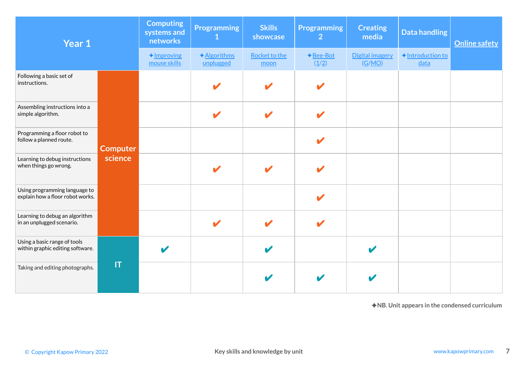| Year 1                                                            |                 | <b>Computing</b><br>systems and<br>networks | <b>Programming</b><br>$\mathbf{1}$ | <b>Skills</b><br>showcase        | <b>Programming</b><br>$\overline{2}$ | <b>Creating</b><br>media         | <b>Data handling</b>                          | <b>Online safety</b> |
|-------------------------------------------------------------------|-----------------|---------------------------------------------|------------------------------------|----------------------------------|--------------------------------------|----------------------------------|-----------------------------------------------|----------------------|
|                                                                   |                 | $\triangle$ Improving<br>mouse skills       | ◆ Algorithms<br>unplugged          | Rocket to the<br>moon            | ◆ Bee-Bot<br>(1/2)                   | <b>Digital imagery</b><br>(G/MO) | ◆ Introduction to<br>data                     |                      |
| Following a basic set of<br>instructions.                         |                 |                                             |                                    |                                  | V                                    |                                  |                                               |                      |
| Assembling instructions into a<br>simple algorithm.               |                 |                                             | $\boldsymbol{\nu}$                 | $\boldsymbol{\nu}$               | $\boldsymbol{\ell}$                  |                                  |                                               |                      |
| Programming a floor robot to<br>follow a planned route.           | <b>Computer</b> |                                             |                                    |                                  | $\overline{\mathcal{L}}$             |                                  |                                               |                      |
| Learning to debug instructions<br>when things go wrong.           | science         |                                             |                                    |                                  |                                      |                                  |                                               |                      |
| Using programming language to<br>explain how a floor robot works. |                 |                                             |                                    |                                  | $\overline{\mathscr{L}}$             |                                  |                                               |                      |
| Learning to debug an algorithm<br>in an unplugged scenario.       |                 |                                             |                                    | V                                | $\boldsymbol{\ell}$                  |                                  |                                               |                      |
| Using a basic range of tools<br>within graphic editing software.  |                 |                                             |                                    | $\boldsymbol{\ell}$              |                                      | $\overline{\mathbf{v}}$          |                                               |                      |
| Taking and editing photographs.                                   | T               |                                             |                                    |                                  |                                      |                                  |                                               |                      |
|                                                                   |                 |                                             |                                    |                                  |                                      |                                  | ◆NB. Unit appears in the condensed curriculum |                      |
|                                                                   |                 |                                             |                                    |                                  |                                      |                                  |                                               |                      |
| © Copyright Kapow Primary 2022                                    |                 |                                             |                                    | Key skills and knowledge by unit |                                      |                                  |                                               | www.kapowprimary.com |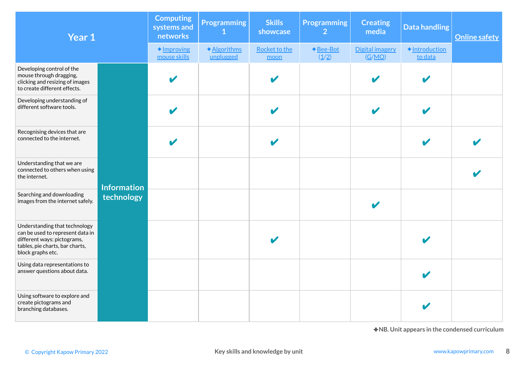| Year 1                                                                                                                                                   |                    | <b>Computing</b><br>systems and<br>networks | <b>Programming</b><br>$\mathbf{1}$ | <b>Skills</b><br>showcase        | <b>Programming</b><br>$\overline{2}$ | <b>Creating</b><br>media  | <b>Data handling</b>                          | <b>Online safety</b> |
|----------------------------------------------------------------------------------------------------------------------------------------------------------|--------------------|---------------------------------------------|------------------------------------|----------------------------------|--------------------------------------|---------------------------|-----------------------------------------------|----------------------|
|                                                                                                                                                          |                    | $\triangle$ Improving<br>mouse skills       | ◆Algorithms<br>unplugged           | <b>Rocket to the</b><br>moon     | ◆Bee-Bot<br>(1/2)                    | Digital imagery<br>(G/MO) | ◆Introduction<br>to data                      |                      |
| Developing control of the<br>mouse through dragging,<br>clicking and resizing of images<br>to create different effects.                                  |                    |                                             |                                    |                                  |                                      |                           |                                               |                      |
| Developing understanding of<br>different software tools.                                                                                                 |                    |                                             |                                    |                                  |                                      |                           |                                               |                      |
| Recognising devices that are<br>connected to the internet.                                                                                               |                    |                                             |                                    |                                  |                                      |                           |                                               |                      |
| Understanding that we are<br>connected to others when using<br>the internet.                                                                             | <b>Information</b> |                                             |                                    |                                  |                                      |                           |                                               |                      |
| Searching and downloading<br>images from the internet safely.                                                                                            | technology         |                                             |                                    |                                  |                                      |                           |                                               |                      |
| Understanding that technology<br>can be used to represent data in<br>different ways: pictograms,<br>tables, pie charts, bar charts,<br>block graphs etc. |                    |                                             |                                    |                                  |                                      |                           |                                               |                      |
| Using data representations to<br>answer questions about data.                                                                                            |                    |                                             |                                    |                                  |                                      |                           |                                               |                      |
| Using software to explore and<br>create pictograms and<br>branching databases.                                                                           |                    |                                             |                                    |                                  |                                      |                           |                                               |                      |
| © Copyright Kapow Primary 2022                                                                                                                           |                    |                                             |                                    | Key skills and knowledge by unit |                                      |                           | ◆NB. Unit appears in the condensed curriculum | www.kapowprimary.com |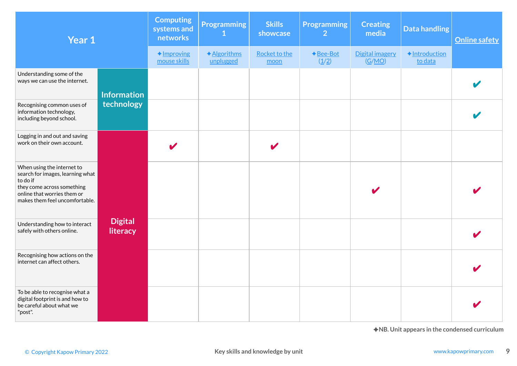| Year 1                                                                                                                                                                    |                            | <b>Computing</b><br>systems and<br>networks | <b>Programming</b><br>1  | <b>Skills</b><br>showcase        | <b>Programming</b><br>$\overline{2}$ | <b>Creating</b><br>media  | <b>Data handling</b>     | <b>Online safety</b>                          |
|---------------------------------------------------------------------------------------------------------------------------------------------------------------------------|----------------------------|---------------------------------------------|--------------------------|----------------------------------|--------------------------------------|---------------------------|--------------------------|-----------------------------------------------|
|                                                                                                                                                                           |                            | $\triangle$ Improving<br>mouse skills       | ◆Algorithms<br>unplugged | Rocket to the<br>moon            | $\bigstar$ Bee-Bot<br>(1/2)          | Digital imagery<br>(G/MO) | ◆Introduction<br>to data |                                               |
| Understanding some of the<br>ways we can use the internet.                                                                                                                | <b>Information</b>         |                                             |                          |                                  |                                      |                           |                          |                                               |
| Recognising common uses of<br>information technology,<br>including beyond school.                                                                                         | technology                 |                                             |                          |                                  |                                      |                           |                          |                                               |
| Logging in and out and saving<br>work on their own account.                                                                                                               |                            |                                             |                          |                                  |                                      |                           |                          |                                               |
| When using the internet to<br>search for images, learning what<br>to do if<br>they come across something<br>online that worries them or<br>makes them feel uncomfortable. |                            |                                             |                          |                                  |                                      |                           |                          |                                               |
| Understanding how to interact<br>safely with others online.                                                                                                               | <b>Digital</b><br>literacy |                                             |                          |                                  |                                      |                           |                          |                                               |
| Recognising how actions on the<br>internet can affect others.                                                                                                             |                            |                                             |                          |                                  |                                      |                           |                          |                                               |
| To be able to recognise what a<br>digital footprint is and how to<br>be careful about what we<br>"post".                                                                  |                            |                                             |                          |                                  |                                      |                           |                          |                                               |
|                                                                                                                                                                           |                            |                                             |                          |                                  |                                      |                           |                          | ◆NB. Unit appears in the condensed curriculum |
| © Copyright Kapow Primary 2022                                                                                                                                            |                            |                                             |                          | Key skills and knowledge by unit |                                      |                           |                          | www.kapowprimary.com                          |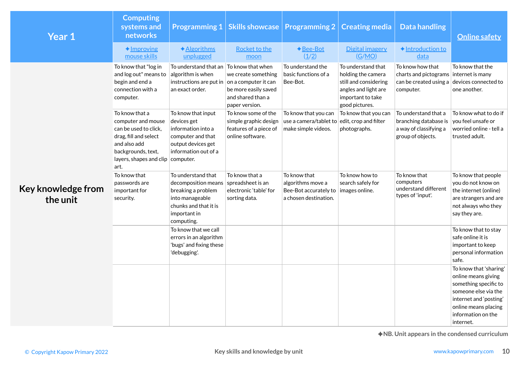| Year 1                         | <b>Computing</b><br>systems and<br>networks<br>$\triangle$ Improving                                                                                                          | ◆ Algorithms                                                                                                                                                  | Programming 1   Skills showcase   Programming 2  <br><b>Rocket to the</b>                  | ◆ Bee-Bot                                                                                            | <b>Creating media</b><br>Digital imagery                                                                                         | <b>Data handling</b><br>◆ Introduction to                                                         | <b>Online safety</b>                                                                                                                                                                |
|--------------------------------|-------------------------------------------------------------------------------------------------------------------------------------------------------------------------------|---------------------------------------------------------------------------------------------------------------------------------------------------------------|--------------------------------------------------------------------------------------------|------------------------------------------------------------------------------------------------------|----------------------------------------------------------------------------------------------------------------------------------|---------------------------------------------------------------------------------------------------|-------------------------------------------------------------------------------------------------------------------------------------------------------------------------------------|
|                                | mouse skills                                                                                                                                                                  | unplugged                                                                                                                                                     | moon                                                                                       | (1/2)                                                                                                | (G/MO)                                                                                                                           | data                                                                                              |                                                                                                                                                                                     |
|                                | To know that "log in<br>and log out" means to<br>begin and end a<br>connection with a<br>computer.                                                                            | To understand that an $ $ To know that when<br>algorithm is when<br>instructions are put in on a computer it can<br>an exact order.                           | we create something<br>be more easily saved<br>and shared than a<br>paper version.         | To understand the<br>basic functions of a<br>Bee-Bot.                                                | To understand that<br>holding the camera<br>still and considering<br>angles and light are<br>important to take<br>good pictures. | To know how that<br>charts and pictograms internet is many<br>can be created using a<br>computer. | To know that the<br>devices connected to<br>one another.                                                                                                                            |
|                                | To know that a<br>computer and mouse<br>can be used to click,<br>drag, fill and select<br>and also add<br>backgrounds, text,<br>layers, shapes and clip $ $ computer.<br>art. | To know that input<br>devices get<br>information into a<br>computer and that<br>output devices get<br>information out of a                                    | To know some of the<br>simple graphic design<br>features of a piece of<br>online software. | To know that you can<br>use a camera/tablet to edit, crop and filter<br>make simple videos.          | To know that you can<br>photographs.                                                                                             | To understand that a<br>branching database is<br>a way of classifying a<br>group of objects.      | To know what to do if<br>you feel unsafe or<br>worried online - tell a<br>trusted adult.                                                                                            |
| Key knowledge from<br>the unit | To know that<br>passwords are<br>important for<br>security.                                                                                                                   | To understand that<br>$decomposition$ means spreadsheet is an<br>breaking a problem<br>into manageable<br>chunks and that it is<br>important in<br>computing. | To know that a<br>electronic 'table' for<br>sorting data.                                  | To know that<br>algorithms move a<br>Bee-Bot accurately to   images online.<br>a chosen destination. | To know how to<br>search safely for                                                                                              | To know that<br>computers<br>understand different<br>types of 'input'.                            | To know that people<br>you do not know on<br>the internet (online)<br>are strangers and are<br>not always who they<br>say they are.                                                 |
|                                |                                                                                                                                                                               | To know that we call<br>errors in an algorithm<br>'bugs' and fixing these<br>'debugging'.                                                                     |                                                                                            |                                                                                                      |                                                                                                                                  |                                                                                                   | To know that to stay<br>safe online it is<br>important to keep<br>personal information<br>safe.                                                                                     |
|                                |                                                                                                                                                                               |                                                                                                                                                               |                                                                                            |                                                                                                      |                                                                                                                                  |                                                                                                   | To know that 'sharing'<br>online means giving<br>something specific to<br>someone else via the<br>internet and 'posting'<br>online means placing<br>information on the<br>internet. |
| © Copyright Kapow Primary 2022 |                                                                                                                                                                               |                                                                                                                                                               | Key skills and knowledge by unit                                                           |                                                                                                      |                                                                                                                                  |                                                                                                   | ◆NB. Unit appears in the condensed curriculum<br>www.kapowprimary.com<br>10                                                                                                         |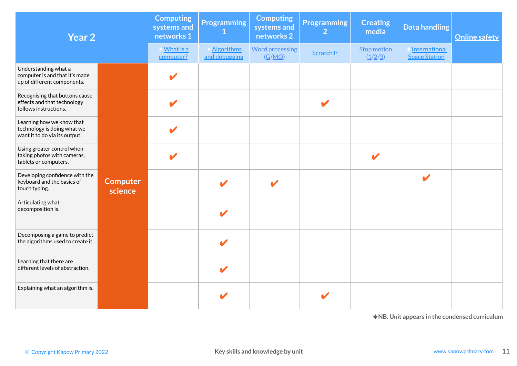| Year 2                                                                                    |                            |                               | <b>Programming</b>                 | <b>Computing</b><br>systems and<br>networks 2 | <b>Programming</b><br>$\overline{2}$ | <b>Creating</b><br>media | Data handling                                 | <b>Online safety</b> |
|-------------------------------------------------------------------------------------------|----------------------------|-------------------------------|------------------------------------|-----------------------------------------------|--------------------------------------|--------------------------|-----------------------------------------------|----------------------|
|                                                                                           |                            | <u>What is a</u><br>computer? | <b>Algorithms</b><br>and debugging | <b>Word processing</b><br>(G/MO)              | ScratchJr                            | Stop motion<br>(1/2/3)   | International<br><b>Space Station</b>         |                      |
| Understanding what a<br>computer is and that it's made<br>up of different components.     |                            |                               |                                    |                                               |                                      |                          |                                               |                      |
| Recognising that buttons cause<br>effects and that technology<br>follows instructions.    |                            | V                             |                                    |                                               | V                                    |                          |                                               |                      |
| Learning how we know that<br>technology is doing what we<br>want it to do via its output. |                            | V                             |                                    |                                               |                                      |                          |                                               |                      |
| Using greater control when<br>taking photos with cameras,<br>tablets or computers.        |                            | V                             |                                    |                                               |                                      | V                        |                                               |                      |
| Developing confidence with the<br>keyboard and the basics of<br>touch typing.             | <b>Computer</b><br>science |                               |                                    |                                               |                                      |                          |                                               |                      |
| Articulating what<br>decomposition is.                                                    |                            |                               |                                    |                                               |                                      |                          |                                               |                      |
| Decomposing a game to predict<br>the algorithms used to create it.                        |                            |                               |                                    |                                               |                                      |                          |                                               |                      |
| Learning that there are<br>different levels of abstraction.                               |                            |                               |                                    |                                               |                                      |                          |                                               |                      |
| Explaining what an algorithm is.                                                          |                            |                               |                                    |                                               |                                      |                          |                                               |                      |
|                                                                                           |                            |                               |                                    |                                               |                                      |                          | ◆NB. Unit appears in the condensed curriculum |                      |
| © Copyright Kapow Primary 2022                                                            |                            |                               |                                    | Key skills and knowledge by unit              |                                      |                          |                                               | www.kapowprimary.com |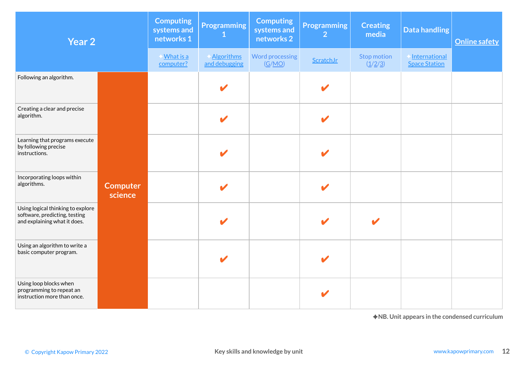| Year 2                                                                                             |                            | <b>Computing</b><br>systems and<br>networks 1 | <b>Programming</b>                 | <b>Computing</b><br>systems and<br>networks 2 | <b>Programming</b><br>$\overline{2}$ | <b>Creating</b><br>media | Data handling                                 | <b>Online safety</b> |
|----------------------------------------------------------------------------------------------------|----------------------------|-----------------------------------------------|------------------------------------|-----------------------------------------------|--------------------------------------|--------------------------|-----------------------------------------------|----------------------|
|                                                                                                    |                            | Mhat is a<br>computer?                        | <b>Algorithms</b><br>and debugging | <b>Word processing</b><br>(G/MO)              | ScratchJr                            | Stop motion<br>(1/2/3)   | International<br><b>Space Station</b>         |                      |
| Following an algorithm.                                                                            |                            |                                               |                                    |                                               | V                                    |                          |                                               |                      |
| Creating a clear and precise<br>algorithm.                                                         |                            |                                               | $\mathbf{z}$                       |                                               | $\boldsymbol{\mathscr{C}}$           |                          |                                               |                      |
| Learning that programs execute<br>by following precise<br>instructions.                            |                            |                                               |                                    |                                               | V                                    |                          |                                               |                      |
| Incorporating loops within<br>algorithms.                                                          | <b>Computer</b><br>science |                                               |                                    |                                               |                                      |                          |                                               |                      |
| Using logical thinking to explore<br>software, predicting, testing<br>and explaining what it does. |                            |                                               |                                    |                                               |                                      | $\mathbf{z}$             |                                               |                      |
| Using an algorithm to write a<br>basic computer program.                                           |                            |                                               | $\boldsymbol{\mathcal{L}}$         |                                               | V                                    |                          |                                               |                      |
| Using loop blocks when<br>programming to repeat an<br>instruction more than once.                  |                            |                                               |                                    |                                               |                                      |                          |                                               |                      |
|                                                                                                    |                            |                                               |                                    |                                               |                                      |                          | ◆NB. Unit appears in the condensed curriculum |                      |
| © Copyright Kapow Primary 2022                                                                     |                            |                                               |                                    | Key skills and knowledge by unit              |                                      |                          |                                               | www.kapowprimary.com |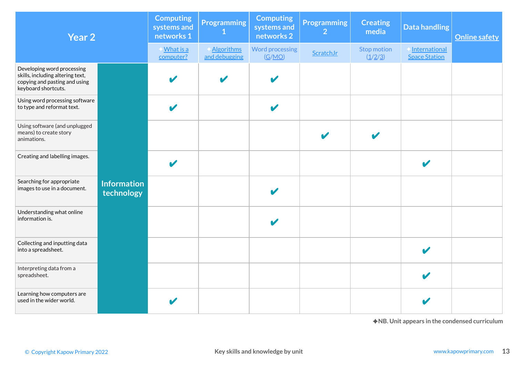| Year 2                                                                                                                 |                                  | <b>Computing</b><br>systems and<br>networks 1 | <b>Programming</b><br>$\mathbf 1$  | <b>Computing</b><br>systems and<br>networks 2 | <b>Programming</b><br>$\overline{2}$ | <b>Creating</b><br>media | <b>Data handling</b>                          | <b>Online safety</b> |
|------------------------------------------------------------------------------------------------------------------------|----------------------------------|-----------------------------------------------|------------------------------------|-----------------------------------------------|--------------------------------------|--------------------------|-----------------------------------------------|----------------------|
|                                                                                                                        |                                  | Mhat is a<br>computer?                        | <b>Algorithms</b><br>and debugging | <b>Word processing</b><br>(G/MO)              | ScratchJr                            | Stop motion<br>(1/2/3)   | International<br><b>Space Station</b>         |                      |
| Developing word processing<br>skills, including altering text,<br>copying and pasting and using<br>keyboard shortcuts. |                                  | V                                             | $\mathbf{v}$                       | V                                             |                                      |                          |                                               |                      |
| Using word processing software<br>to type and reformat text.                                                           |                                  | V                                             |                                    | V                                             |                                      |                          |                                               |                      |
| Using software (and unplugged<br>means) to create story<br>animations.                                                 |                                  |                                               |                                    |                                               |                                      |                          |                                               |                      |
| Creating and labelling images.                                                                                         |                                  | $\boldsymbol{\mathscr{C}}$                    |                                    |                                               |                                      |                          |                                               |                      |
| Searching for appropriate<br>images to use in a document.                                                              | <b>Information</b><br>technology |                                               |                                    |                                               |                                      |                          |                                               |                      |
| Understanding what online<br>information is.                                                                           |                                  |                                               |                                    |                                               |                                      |                          |                                               |                      |
| Collecting and inputting data<br>into a spreadsheet.                                                                   |                                  |                                               |                                    |                                               |                                      |                          |                                               |                      |
| Interpreting data from a<br>spreadsheet.                                                                               |                                  |                                               |                                    |                                               |                                      |                          |                                               |                      |
| Learning how computers are<br>used in the wider world.                                                                 |                                  | V                                             |                                    |                                               |                                      |                          |                                               |                      |
|                                                                                                                        |                                  |                                               |                                    |                                               |                                      |                          | ◆NB. Unit appears in the condensed curriculum |                      |
| © Copyright Kapow Primary 2022                                                                                         |                                  |                                               |                                    | Key skills and knowledge by unit              |                                      |                          |                                               | www.kapowprimary.com |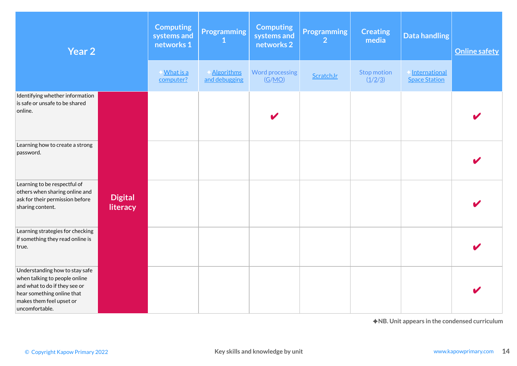| Year 2                                                                                                                                                                       |                            | <b>Computing</b><br>systems and<br>networks 1 | <b>Programming</b><br>1            | <b>Computing</b><br>systems and<br>networks 2 | <b>Programming</b><br>$\overline{2}$ | <b>Creating</b><br>media                                | <b>Data handling</b>                          | <b>Online safety</b> |
|------------------------------------------------------------------------------------------------------------------------------------------------------------------------------|----------------------------|-----------------------------------------------|------------------------------------|-----------------------------------------------|--------------------------------------|---------------------------------------------------------|-----------------------------------------------|----------------------|
|                                                                                                                                                                              |                            | <b>What is a</b><br>computer?                 | <b>Algorithms</b><br>and debugging | <b>Word processing</b><br>(G/MO)              | ScratchJr                            | <b>Stop motion</b><br>$(\underline{1}/\underline{2}/3)$ | International<br><b>Space Station</b>         |                      |
| Identifying whether information<br>is safe or unsafe to be shared<br>online.                                                                                                 |                            |                                               |                                    |                                               |                                      |                                                         |                                               |                      |
| Learning how to create a strong<br>password.                                                                                                                                 |                            |                                               |                                    |                                               |                                      |                                                         |                                               |                      |
| Learning to be respectful of<br>others when sharing online and<br>ask for their permission before<br>sharing content.                                                        | <b>Digital</b><br>literacy |                                               |                                    |                                               |                                      |                                                         |                                               |                      |
| Learning strategies for checking<br>if something they read online is<br>true.                                                                                                |                            |                                               |                                    |                                               |                                      |                                                         |                                               |                      |
| Understanding how to stay safe<br>when talking to people online<br>and what to do if they see or<br>hear something online that<br>makes them feel upset or<br>uncomfortable. |                            |                                               |                                    |                                               |                                      |                                                         |                                               |                      |
| © Copyright Kapow Primary 2022                                                                                                                                               |                            |                                               |                                    | Key skills and knowledge by unit              |                                      |                                                         | ◆NB. Unit appears in the condensed curriculum | www.kapowprimary.com |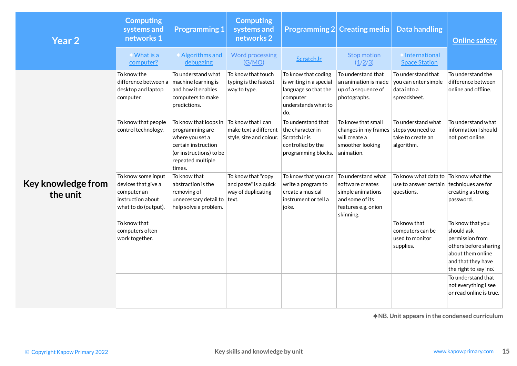| <b>Year 2</b>                  | <b>Computing</b><br>systems and<br>networks 1                                                         | <b>Programming 1</b>                                                                                                                         | <b>Computing</b><br>systems and<br>networks 2                              |                                                                                                                            | <b>Programming 2 Creating media</b>                                                           | <b>Data handling</b>                                                                            | <b>Online safety</b>                                                                                                                            |
|--------------------------------|-------------------------------------------------------------------------------------------------------|----------------------------------------------------------------------------------------------------------------------------------------------|----------------------------------------------------------------------------|----------------------------------------------------------------------------------------------------------------------------|-----------------------------------------------------------------------------------------------|-------------------------------------------------------------------------------------------------|-------------------------------------------------------------------------------------------------------------------------------------------------|
|                                | Mhat is a<br>computer?                                                                                | <b>Algorithms and</b><br>debugging                                                                                                           | <b>Word processing</b><br>(G/MO)                                           | ScratchJr                                                                                                                  | <b>Stop motion</b><br>(1/2/3)                                                                 | <b>International</b><br><b>Space Station</b>                                                    |                                                                                                                                                 |
|                                | To know the<br>difference between a<br>desktop and laptop<br>computer.                                | To understand what<br>machine learning is<br>and how it enables<br>computers to make<br>predictions.                                         | To know that touch<br>typing is the fastest<br>way to type.                | To know that coding<br>is writing in a special<br>language so that the<br>computer<br>understands what to<br>do.           | To understand that<br>an animation is made<br>up of a sequence of<br>photographs.             | To understand that<br>you can enter simple<br>data into a<br>spreadsheet.                       | To understand the<br>difference between<br>online and offline.                                                                                  |
|                                | To know that people<br>control technology.                                                            | To know that loops in<br>programming are<br>where you set a<br>certain instruction<br>(or instructions) to be<br>repeated multiple<br>times. | To know that I can<br>make text a different<br>style, size and colour.     | To understand that<br>the character in<br>ScratchJr is<br>controlled by the<br>programming blocks.                         | To know that small<br>changes in my frames<br>will create a<br>smoother looking<br>animation. | To understand what<br>steps you need to<br>take to create an<br>algorithm.                      | To understand what<br>information I should<br>not post online.                                                                                  |
| Key knowledge from<br>the unit | To know some input<br>devices that give a<br>computer an<br>instruction about<br>what to do (output). | To know that<br>abstraction is the<br>removing of<br>unnecessary detail to<br>help solve a problem.                                          | To know that "copy<br>and paste" is a quick<br>way of duplicating<br>text. | To know that you can $\vert$ To understand what<br>write a program to<br>create a musical<br>instrument or tell a<br>joke. | software creates<br>simple animations<br>and some of its<br>features e.g. onion<br>skinning.  | To know what data to To know what the<br>use to answer certain techniques are for<br>questions. | creating a strong<br>password.                                                                                                                  |
|                                | To know that<br>computers often<br>work together.                                                     |                                                                                                                                              |                                                                            |                                                                                                                            |                                                                                               | To know that<br>computers can be<br>used to monitor<br>supplies.                                | To know that you<br>should ask<br>permission from<br>others before sharing<br>about them online<br>and that they have<br>the right to say 'no.' |
|                                |                                                                                                       |                                                                                                                                              |                                                                            |                                                                                                                            |                                                                                               |                                                                                                 | To understand that<br>not everything I see<br>or read online is true.                                                                           |
|                                |                                                                                                       |                                                                                                                                              |                                                                            |                                                                                                                            |                                                                                               |                                                                                                 | $\bigstar$ NB. Unit appears in the condensed curriculum                                                                                         |
| © Copyright Kapow Primary 2022 |                                                                                                       |                                                                                                                                              | Key skills and knowledge by unit                                           |                                                                                                                            |                                                                                               |                                                                                                 | www.kapowprimary.com                                                                                                                            |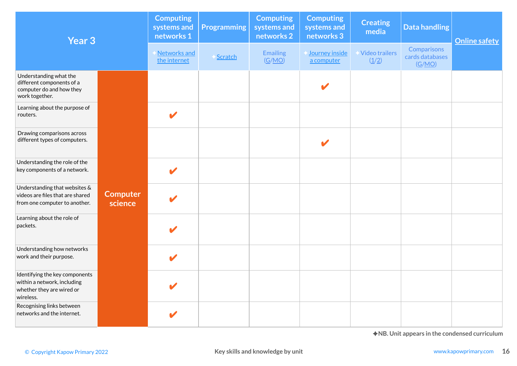| Year <sub>3</sub>                                                                                       |                            | <b>Computing</b><br>systems and<br>networks 1 | <b>Programming</b> | <b>Computing</b><br>systems and<br>networks 2 | <b>Computing</b><br>systems and<br>networks 3 | <b>Creating</b><br>media | <b>Data handling</b>                          | <b>Online safety</b> |
|---------------------------------------------------------------------------------------------------------|----------------------------|-----------------------------------------------|--------------------|-----------------------------------------------|-----------------------------------------------|--------------------------|-----------------------------------------------|----------------------|
|                                                                                                         |                            | Networks and<br>the internet                  | Scratch            | <b>Emailing</b><br>(G/MO)                     | Journey inside<br>a computer                  | Video trailers<br>(1/2)  | Comparisons<br>cards databases<br>(G/MO)      |                      |
| Understanding what the<br>different components of a<br>computer do and how they<br>work together.       |                            |                                               |                    |                                               | V                                             |                          |                                               |                      |
| Learning about the purpose of<br>routers.                                                               |                            | V                                             |                    |                                               |                                               |                          |                                               |                      |
| Drawing comparisons across<br>different types of computers.                                             |                            |                                               |                    |                                               |                                               |                          |                                               |                      |
| Understanding the role of the<br>key components of a network.                                           |                            | $\boldsymbol{\mathscr{I}}$                    |                    |                                               |                                               |                          |                                               |                      |
| Understanding that websites &<br>videos are files that are shared<br>from one computer to another.      | <b>Computer</b><br>science |                                               |                    |                                               |                                               |                          |                                               |                      |
| Learning about the role of<br>packets.                                                                  |                            |                                               |                    |                                               |                                               |                          |                                               |                      |
| Understanding how networks<br>work and their purpose.                                                   |                            | V                                             |                    |                                               |                                               |                          |                                               |                      |
| Identifying the key components<br>within a network, including<br>whether they are wired or<br>wireless. |                            | $\boldsymbol{\ell}$                           |                    |                                               |                                               |                          |                                               |                      |
| Recognising links between<br>networks and the internet.                                                 |                            | V                                             |                    |                                               |                                               |                          |                                               |                      |
| © Copyright Kapow Primary 2022                                                                          |                            |                                               |                    | Key skills and knowledge by unit              |                                               |                          | ◆NB. Unit appears in the condensed curriculum | www.kapowprimary.com |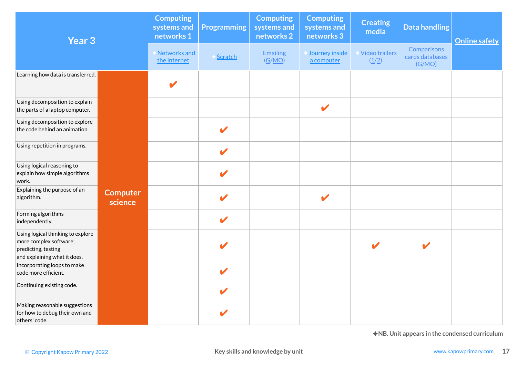| Year <sub>3</sub>                                                                                                  |                            | <b>Computing</b><br>systems and<br>networks 1 | <b>Programming</b>   | <b>Computing</b><br>systems and<br>networks 2 | <b>Computing</b><br>systems and<br>networks 3 | <b>Creating</b><br>media | <b>Data handling</b>                          | <b>Online safety</b> |
|--------------------------------------------------------------------------------------------------------------------|----------------------------|-----------------------------------------------|----------------------|-----------------------------------------------|-----------------------------------------------|--------------------------|-----------------------------------------------|----------------------|
|                                                                                                                    |                            | Networks and<br>the internet                  | Scratch              | <b>Emailing</b><br>(G/MO)                     | Journey inside<br>a computer                  | Video trailers<br>(1/2)  | Comparisons<br>cards databases<br>(G/MO)      |                      |
| Learning how data is transferred.                                                                                  |                            | V                                             |                      |                                               |                                               |                          |                                               |                      |
| Using decomposition to explain<br>the parts of a laptop computer.                                                  |                            |                                               |                      |                                               | $\mathbf v$                                   |                          |                                               |                      |
| Using decomposition to explore<br>the code behind an animation.                                                    |                            |                                               | $\mathbf{v}$         |                                               |                                               |                          |                                               |                      |
| Using repetition in programs.                                                                                      |                            |                                               | $\mathbf v$          |                                               |                                               |                          |                                               |                      |
| Using logical reasoning to<br>explain how simple algorithms<br>work.                                               |                            |                                               | V                    |                                               |                                               |                          |                                               |                      |
| Explaining the purpose of an<br>algorithm.                                                                         | <b>Computer</b><br>science |                                               |                      |                                               | V                                             |                          |                                               |                      |
| Forming algorithms<br>independently.                                                                               |                            |                                               | $\mathbf{v}$         |                                               |                                               |                          |                                               |                      |
| Using logical thinking to explore<br>more complex software;<br>predicting, testing<br>and explaining what it does. |                            |                                               |                      |                                               |                                               |                          |                                               |                      |
| Incorporating loops to make<br>code more efficient.                                                                |                            |                                               | $\blacktriangledown$ |                                               |                                               |                          |                                               |                      |
| Continuing existing code.                                                                                          |                            |                                               |                      |                                               |                                               |                          |                                               |                      |
| Making reasonable suggestions<br>for how to debug their own and<br>others' code.                                   |                            |                                               |                      |                                               |                                               |                          |                                               |                      |
|                                                                                                                    |                            |                                               |                      |                                               |                                               |                          | ◆NB. Unit appears in the condensed curriculum |                      |
| © Copyright Kapow Primary 2022                                                                                     |                            |                                               |                      | Key skills and knowledge by unit              |                                               |                          |                                               | www.kapowprimary.com |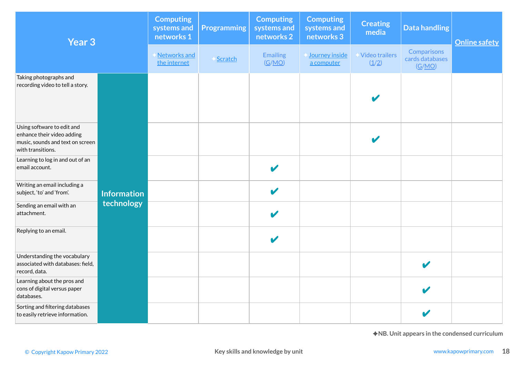|                                                                                                                                             | Year <sub>3</sub>  | <b>Computing</b><br>systems and<br>networks 1 | <b>Programming</b> | <b>Computing</b><br>systems and<br>networks 2 | <b>Computing</b><br>systems and<br>networks 3 | <b>Creating</b><br>media | <b>Data handling</b>                     | <b>Online safety</b> |
|---------------------------------------------------------------------------------------------------------------------------------------------|--------------------|-----------------------------------------------|--------------------|-----------------------------------------------|-----------------------------------------------|--------------------------|------------------------------------------|----------------------|
|                                                                                                                                             |                    | Networks and<br>the internet                  | Scratch            | <b>Emailing</b><br>(G/MO)                     | Journey inside<br>a computer                  | Video trailers<br>(1/2)  | Comparisons<br>cards databases<br>(G/MO) |                      |
| Taking photographs and<br>recording video to tell a story.                                                                                  |                    |                                               |                    |                                               |                                               |                          |                                          |                      |
| Using software to edit and<br>enhance their video adding<br>music, sounds and text on screen<br>with transitions.                           |                    |                                               |                    |                                               |                                               |                          |                                          |                      |
| Learning to log in and out of an<br>email account.                                                                                          |                    |                                               |                    | $\mathbf{v}$                                  |                                               |                          |                                          |                      |
| Writing an email including a<br>subject, 'to' and 'from'.                                                                                   | <b>Information</b> |                                               |                    | $\overline{\mathscr{L}}$                      |                                               |                          |                                          |                      |
| Sending an email with an<br>attachment.                                                                                                     | technology         |                                               |                    |                                               |                                               |                          |                                          |                      |
| Replying to an email.                                                                                                                       |                    |                                               |                    |                                               |                                               |                          |                                          |                      |
| Understanding the vocabulary<br>associated with databases: field,<br>record, data.                                                          |                    |                                               |                    |                                               |                                               |                          |                                          |                      |
| Learning about the pros and<br>cons of digital versus paper<br>databases.                                                                   |                    |                                               |                    |                                               |                                               |                          |                                          |                      |
| Sorting and filtering databases<br>to easily retrieve information.                                                                          |                    |                                               |                    |                                               |                                               |                          | $\boldsymbol{\nu}$                       |                      |
| ◆NB. Unit appears in the condensed curriculum<br>Key skills and knowledge by unit<br>www.kapowprimary.com<br>© Copyright Kapow Primary 2022 |                    |                                               |                    |                                               |                                               |                          |                                          |                      |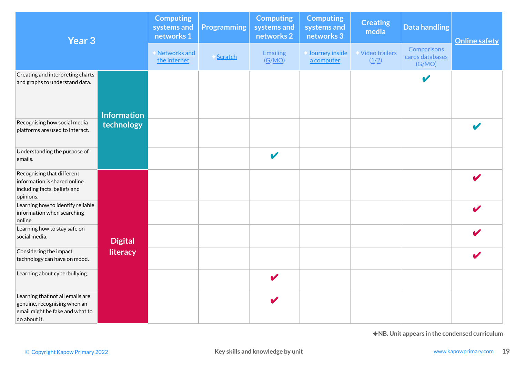| Year <sub>3</sub>                                                                                                   |                    | <b>Computing</b><br>systems and<br>networks 1 | <b>Programming</b> | <b>Computing</b><br>systems and<br>networks 2 | <b>Computing</b><br>systems and<br>networks 3 | <b>Creating</b><br>media | <b>Data handling</b>                     | <b>Online safety</b>                          |
|---------------------------------------------------------------------------------------------------------------------|--------------------|-----------------------------------------------|--------------------|-----------------------------------------------|-----------------------------------------------|--------------------------|------------------------------------------|-----------------------------------------------|
|                                                                                                                     |                    | Networks and<br>the internet                  | Scratch            | <b>Emailing</b><br>(G/MO)                     | Journey inside<br>a computer                  | Video trailers<br>(1/2)  | Comparisons<br>cards databases<br>(G/MO) |                                               |
| Creating and interpreting charts<br>and graphs to understand data.                                                  | <b>Information</b> |                                               |                    |                                               |                                               |                          | $\mathbf{v}$                             |                                               |
| Recognising how social media<br>platforms are used to interact.                                                     | technology         |                                               |                    |                                               |                                               |                          |                                          |                                               |
| Understanding the purpose of<br>emails.                                                                             |                    |                                               |                    | $\blacktriangleright$                         |                                               |                          |                                          |                                               |
| Recognising that different<br>information is shared online<br>including facts, beliefs and<br>opinions.             |                    |                                               |                    |                                               |                                               |                          |                                          |                                               |
| Learning how to identify reliable<br>information when searching<br>online.                                          |                    |                                               |                    |                                               |                                               |                          |                                          |                                               |
| Learning how to stay safe on<br>social media.                                                                       | <b>Digital</b>     |                                               |                    |                                               |                                               |                          |                                          |                                               |
| Considering the impact<br>technology can have on mood.                                                              | literacy           |                                               |                    |                                               |                                               |                          |                                          |                                               |
| Learning about cyberbullying.                                                                                       |                    |                                               |                    | V                                             |                                               |                          |                                          |                                               |
| Learning that not all emails are<br>genuine, recognising when an<br>email might be fake and what to<br>do about it. |                    |                                               |                    | v                                             |                                               |                          |                                          |                                               |
|                                                                                                                     |                    |                                               |                    |                                               |                                               |                          |                                          | ◆NB. Unit appears in the condensed curriculum |
| © Copyright Kapow Primary 2022                                                                                      |                    |                                               |                    | Key skills and knowledge by unit              |                                               |                          |                                          | www.kapowprimary.com                          |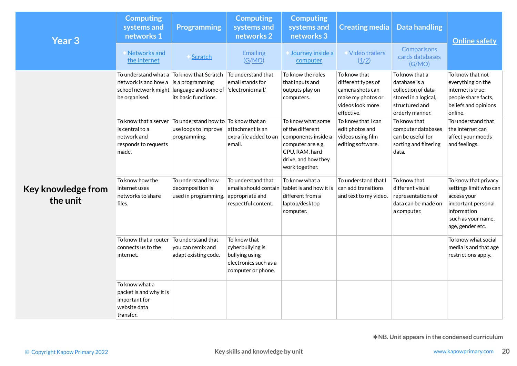| <b>Year 3</b>                  | <b>Computing</b><br>systems and<br>networks 1                                                                                                    | <b>Programming</b>                                                                         | <b>Computing</b><br>systems and<br>networks 2                                                                         | <b>Computing</b><br>systems and<br>networks 3                                                                                                | <b>Creating media</b>                                                                                         | <b>Data handling</b>                                                                                               | <b>Online safety</b>                                                                                                                         |  |  |
|--------------------------------|--------------------------------------------------------------------------------------------------------------------------------------------------|--------------------------------------------------------------------------------------------|-----------------------------------------------------------------------------------------------------------------------|----------------------------------------------------------------------------------------------------------------------------------------------|---------------------------------------------------------------------------------------------------------------|--------------------------------------------------------------------------------------------------------------------|----------------------------------------------------------------------------------------------------------------------------------------------|--|--|
|                                | Networks and<br>the internet                                                                                                                     | Scratch                                                                                    | <b>Emailing</b><br>(G/MO)                                                                                             | Journey inside a<br>computer                                                                                                                 | Video trailers<br>(1/2)                                                                                       | Comparisons<br>cards databases<br>(G/MO)                                                                           |                                                                                                                                              |  |  |
|                                | To understand what a To know that Scratch<br>network is and how a is a programming<br>school network might language and some of<br>be organised. | its basic functions.                                                                       | To understand that<br>email stands for<br>'electronic mail.'                                                          | To know the roles<br>that inputs and<br>outputs play on<br>computers.                                                                        | To know that<br>different types of<br>camera shots can<br>make my photos or<br>videos look more<br>effective. | To know that a<br>database is a<br>collection of data<br>stored in a logical,<br>structured and<br>orderly manner. | To know that not<br>everything on the<br>internet is true:<br>people share facts,<br>beliefs and opinions<br>online.                         |  |  |
| Key knowledge from             | To know that a server<br>is central to a<br>network and<br>responds to requests<br>made.                                                         | $\mid$ To understand how to $\mid$ To know that an<br>use loops to improve<br>programming. | attachment is an<br>extra file added to an<br>email.                                                                  | To know what some<br>of the different<br>components inside a<br>computer are e.g.<br>CPU, RAM, hard<br>drive, and how they<br>work together. | To know that I can<br>edit photos and<br>videos using film<br>editing software.                               | To know that<br>computer databases<br>can be useful for<br>sorting and filtering<br>data.                          | To understand that<br>the internet can<br>affect your moods<br>and feelings.                                                                 |  |  |
| the unit                       | To know how the<br>internet uses<br>networks to share<br>files.                                                                                  | To understand how<br>decomposition is<br>used in programming.                              | To understand that<br>emails should contain $\vert$ tablet is and how it is<br>appropriate and<br>respectful content. | To know what a<br>different from a<br>laptop/desktop<br>computer.                                                                            | To understand that I<br>can add transitions<br>and text to my video.                                          | To know that<br>different visual<br>representations of<br>data can be made on<br>a computer.                       | To know that privacy<br>settings limit who can<br>access your<br>important personal<br>information<br>such as your name,<br>age, gender etc. |  |  |
|                                | To know that a router<br>connects us to the<br>internet.                                                                                         | To understand that<br>you can remix and<br>adapt existing code.                            | To know that<br>cyberbullying is<br>bullying using<br>electronics such as a<br>computer or phone.                     |                                                                                                                                              |                                                                                                               |                                                                                                                    | To know what social<br>media is and that age<br>restrictions apply.                                                                          |  |  |
|                                | To know what a<br>packet is and why it is<br>important for<br>website data<br>transfer.                                                          |                                                                                            |                                                                                                                       |                                                                                                                                              |                                                                                                               |                                                                                                                    |                                                                                                                                              |  |  |
|                                | ◆NB. Unit appears in the condensed curriculum                                                                                                    |                                                                                            |                                                                                                                       |                                                                                                                                              |                                                                                                               |                                                                                                                    |                                                                                                                                              |  |  |
| © Copyright Kapow Primary 2022 |                                                                                                                                                  |                                                                                            | Key skills and knowledge by unit                                                                                      |                                                                                                                                              |                                                                                                               |                                                                                                                    | www.kapowprimary.com                                                                                                                         |  |  |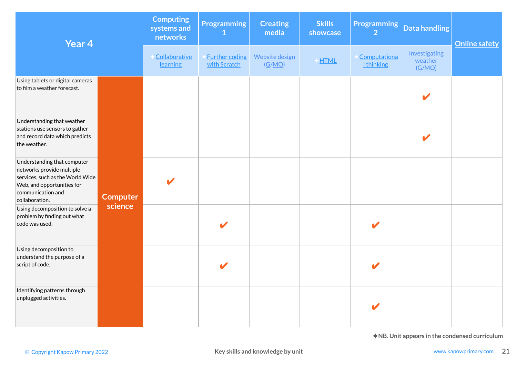| Year 4                                                                                                                                                            |                 | <b>Computing</b><br>systems and<br>networks | <b>Programming</b><br>$\mathbf 1$     | <b>Creating</b><br>media | <b>Skills</b><br>showcase | <b>Programming</b><br>$\overline{2}$ | <b>Data handling</b>               | <b>Online safety</b> |
|-------------------------------------------------------------------------------------------------------------------------------------------------------------------|-----------------|---------------------------------------------|---------------------------------------|--------------------------|---------------------------|--------------------------------------|------------------------------------|----------------------|
|                                                                                                                                                                   |                 | Collaborative<br>learning                   | <b>Further coding</b><br>with Scratch | Website design<br>(G/MO) | HTML                      | Computationa<br><b>Ithinking</b>     | Investigating<br>weather<br>(G/MO) |                      |
| Using tablets or digital cameras<br>to film a weather forecast.                                                                                                   |                 |                                             |                                       |                          |                           |                                      |                                    |                      |
| Understanding that weather<br>stations use sensors to gather<br>and record data which predicts<br>the weather.                                                    |                 |                                             |                                       |                          |                           |                                      |                                    |                      |
| Understanding that computer<br>networks provide multiple<br>services, such as the World Wide<br>Web, and opportunities for<br>communication and<br>collaboration. | <b>Computer</b> |                                             |                                       |                          |                           |                                      |                                    |                      |
| Using decomposition to solve a<br>problem by finding out what<br>code was used.                                                                                   | science         |                                             |                                       |                          |                           |                                      |                                    |                      |
| Using decomposition to<br>understand the purpose of a<br>script of code.                                                                                          |                 |                                             |                                       |                          |                           |                                      |                                    |                      |
| Identifying patterns through<br>unplugged activities.                                                                                                             |                 |                                             |                                       |                          |                           |                                      |                                    |                      |
| ◆NB. Unit appears in the condensed curriculum<br>Key skills and knowledge by unit<br>www.kapowprimary.com<br>© Copyright Kapow Primary 2022                       |                 |                                             |                                       |                          |                           |                                      |                                    |                      |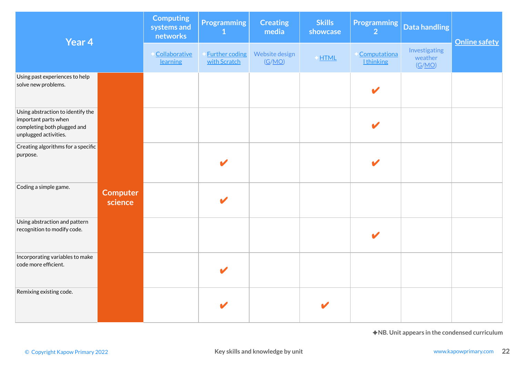| Year 4                                                                                                            |                            | <b>Computing</b><br>systems and<br>networks | <b>Programming</b><br>$\mathbf{1}$    | <b>Creating</b><br>media         | <b>Skills</b><br>showcase | <b>Programming</b><br>$\overline{2}$ | <b>Data handling</b>                          | <b>Online safety</b> |
|-------------------------------------------------------------------------------------------------------------------|----------------------------|---------------------------------------------|---------------------------------------|----------------------------------|---------------------------|--------------------------------------|-----------------------------------------------|----------------------|
|                                                                                                                   |                            | Collaborative<br>learning                   | <b>Further coding</b><br>with Scratch | Website design<br>(G/MO)         | HTML                      | Computationa<br><b>Ithinking</b>     | Investigating<br>weather<br>(G/MO)            |                      |
| Using past experiences to help<br>solve new problems.                                                             |                            |                                             |                                       |                                  |                           |                                      |                                               |                      |
| Using abstraction to identify the<br>important parts when<br>completing both plugged and<br>unplugged activities. |                            |                                             |                                       |                                  |                           | V                                    |                                               |                      |
| Creating algorithms for a specific<br>purpose.                                                                    |                            |                                             |                                       |                                  |                           |                                      |                                               |                      |
| Coding a simple game.                                                                                             | <b>Computer</b><br>science |                                             |                                       |                                  |                           |                                      |                                               |                      |
| Using abstraction and pattern<br>recognition to modify code.                                                      |                            |                                             |                                       |                                  |                           |                                      |                                               |                      |
| Incorporating variables to make<br>code more efficient.                                                           |                            |                                             |                                       |                                  |                           |                                      |                                               |                      |
| Remixing existing code.                                                                                           |                            |                                             |                                       |                                  |                           |                                      |                                               |                      |
|                                                                                                                   |                            |                                             |                                       |                                  |                           |                                      | ◆NB. Unit appears in the condensed curriculum |                      |
| © Copyright Kapow Primary 2022                                                                                    |                            |                                             |                                       | Key skills and knowledge by unit |                           |                                      |                                               | www.kapowprimary.com |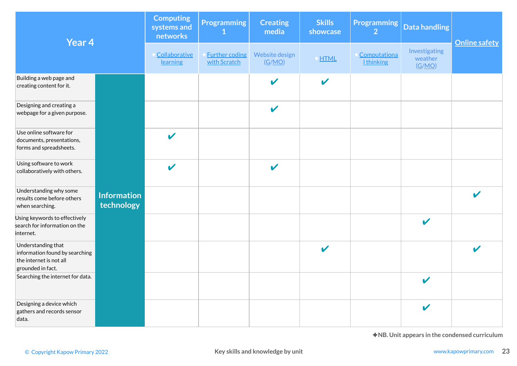| Year 4                                                                                                                                      |                                  | <b>Computing</b><br>systems and<br>networks | <b>Programming</b><br>1               | <b>Creating</b><br>media   | <b>Skills</b><br>showcase  | <b>Programming</b><br>$\overline{2}$ | <b>Data handling</b>               | <b>Online safety</b>    |
|---------------------------------------------------------------------------------------------------------------------------------------------|----------------------------------|---------------------------------------------|---------------------------------------|----------------------------|----------------------------|--------------------------------------|------------------------------------|-------------------------|
|                                                                                                                                             |                                  | Collaborative<br>learning                   | <b>Further coding</b><br>with Scratch | Website design<br>(G/MO)   | HTML                       | Computationa<br><b>Ithinking</b>     | Investigating<br>weather<br>(G/MO) |                         |
| Building a web page and<br>creating content for it.                                                                                         |                                  |                                             |                                       | $\overline{\mathscr{L}}$   | $\boldsymbol{\nu}$         |                                      |                                    |                         |
| Designing and creating a<br>webpage for a given purpose.                                                                                    |                                  |                                             |                                       | $\boldsymbol{\mathscr{C}}$ |                            |                                      |                                    |                         |
| Use online software for<br>documents, presentations,<br>forms and spreadsheets.                                                             |                                  | $\boldsymbol{\mathscr{C}}$                  |                                       |                            |                            |                                      |                                    |                         |
| Using software to work<br>collaboratively with others.                                                                                      |                                  | $\mathbf{v}$                                |                                       | $\mathbf{v}$               |                            |                                      |                                    |                         |
| Understanding why some<br>results come before others<br>when searching.                                                                     | <b>Information</b><br>technology |                                             |                                       |                            |                            |                                      |                                    | V                       |
| Using keywords to effectively<br>search for information on the<br>internet.                                                                 |                                  |                                             |                                       |                            |                            |                                      | $\boldsymbol{\mathcal{L}}$         |                         |
| Understanding that<br>information found by searching<br>the internet is not all<br>grounded in fact.                                        |                                  |                                             |                                       |                            | $\boldsymbol{\mathscr{C}}$ |                                      |                                    | $\overline{\mathbf{v}}$ |
| Searching the internet for data.                                                                                                            |                                  |                                             |                                       |                            |                            |                                      |                                    |                         |
| Designing a device which<br>gathers and records sensor<br>data.                                                                             |                                  |                                             |                                       |                            |                            |                                      | $\boldsymbol{\mathcal{L}}$         |                         |
| ◆NB. Unit appears in the condensed curriculum<br>Key skills and knowledge by unit<br>www.kapowprimary.com<br>© Copyright Kapow Primary 2022 |                                  |                                             |                                       |                            |                            |                                      |                                    |                         |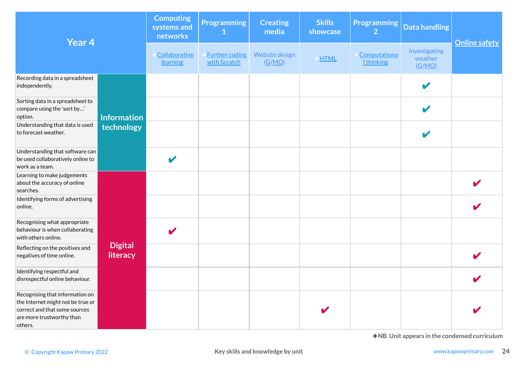| Year 4                                                                                                                                        |                            | <b>Computing</b><br>systems and<br>networks | <b>Programming</b><br>$\mathbf{1}$    | <b>Creating</b><br>media | <b>Skills</b><br>showcase | <b>Programming</b><br>$\overline{2}$ | <b>Data handling</b>               | <b>Online safety</b> |
|-----------------------------------------------------------------------------------------------------------------------------------------------|----------------------------|---------------------------------------------|---------------------------------------|--------------------------|---------------------------|--------------------------------------|------------------------------------|----------------------|
|                                                                                                                                               |                            | Collaborative<br>learning                   | <b>Further coding</b><br>with Scratch | Website design<br>(G/MO) | HTML                      | Computationa<br><b>Ithinking</b>     | Investigating<br>weather<br>(G/MO) |                      |
| Recording data in a spreadsheet<br>independently.                                                                                             |                            |                                             |                                       |                          |                           |                                      |                                    |                      |
| Sorting data in a spreadsheet to<br>compare using the 'sort by'<br>option.                                                                    | <b>Information</b>         |                                             |                                       |                          |                           |                                      |                                    |                      |
| Understanding that data is used<br>to forecast weather.                                                                                       | technology                 |                                             |                                       |                          |                           |                                      |                                    |                      |
| Understanding that software can<br>be used collaboratively online to<br>work as a team.                                                       |                            | $\blacktriangledown$                        |                                       |                          |                           |                                      |                                    |                      |
| Learning to make judgements<br>about the accuracy of online<br>searches.                                                                      |                            |                                             |                                       |                          |                           |                                      |                                    |                      |
| Identifying forms of advertising<br>online.                                                                                                   |                            |                                             |                                       |                          |                           |                                      |                                    |                      |
| Recognising what appropriate<br>behaviour is when collaborating<br>with others online.                                                        |                            | V                                           |                                       |                          |                           |                                      |                                    |                      |
| Reflecting on the positives and<br>negatives of time online.                                                                                  | <b>Digital</b><br>literacy |                                             |                                       |                          |                           |                                      |                                    |                      |
| Identifying respectful and<br>disrespectful online behaviour.                                                                                 |                            |                                             |                                       |                          |                           |                                      |                                    |                      |
| Recognising that information on<br>the Internet might not be true or<br>correct and that some sources<br>are more trustworthy than<br>others. |                            |                                             |                                       |                          |                           |                                      |                                    |                      |
| ◆NB. Unit appears in the condensed curriculum<br>Key skills and knowledge by unit<br>www.kapowprimary.com<br>© Copyright Kapow Primary 2022   |                            |                                             |                                       |                          |                           |                                      |                                    |                      |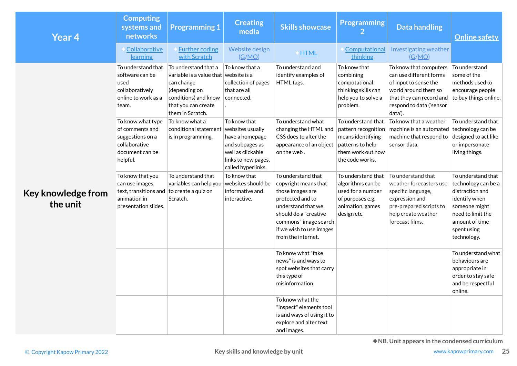| Year 4                         | <b>Computing</b><br>systems and<br>networks                                                              | <b>Programming 1</b>                                                                                                                                            | <b>Creating</b><br>media                                                                                             | <b>Skills showcase</b>                                                                                                                                                                                       | <b>Programming</b><br>2                                                                                             | <b>Data handling</b>                                                                                                                                                  | <b>Online safety</b>                                                                                                                                                |
|--------------------------------|----------------------------------------------------------------------------------------------------------|-----------------------------------------------------------------------------------------------------------------------------------------------------------------|----------------------------------------------------------------------------------------------------------------------|--------------------------------------------------------------------------------------------------------------------------------------------------------------------------------------------------------------|---------------------------------------------------------------------------------------------------------------------|-----------------------------------------------------------------------------------------------------------------------------------------------------------------------|---------------------------------------------------------------------------------------------------------------------------------------------------------------------|
|                                | Collaborative<br>learning                                                                                | <b>Further coding</b><br>with Scratch                                                                                                                           | Website design<br>(G/MO)                                                                                             | HTML                                                                                                                                                                                                         | Computational<br>thinking                                                                                           | Investigating weather<br>(G/MO)                                                                                                                                       |                                                                                                                                                                     |
|                                | To understand that<br>software can be<br>used<br>collaboratively<br>online to work as a<br>team.         | To understand that a<br>variable is a value that website is a<br>can change<br>(depending on<br>conditions) and know<br>that you can create<br>them in Scratch. | To know that a<br>collection of pages<br>that are all<br>connected.                                                  | To understand and<br>identify examples of<br>HTML tags.                                                                                                                                                      | To know that<br>combining<br>computational<br>thinking skills can<br>help you to solve a<br>problem.                | To know that computers<br>can use different forms<br>of input to sense the<br>world around them so<br>that they can record and<br>respond to data ('sensor<br>data'). | To understand<br>some of the<br>methods used to<br>encourage people<br>to buy things online.                                                                        |
|                                | To know what type<br>of comments and<br>suggestions on a<br>collaborative<br>document can be<br>helpful. | To know what a<br>conditional statement websites usually<br>is in programming.                                                                                  | To know that<br>have a homepage<br>and subpages as<br>well as clickable<br>links to new pages,<br>called hyperlinks. | To understand what<br>changing the HTML and<br>CSS does to alter the<br>appearance of an object<br>on the web.                                                                                               | To understand that<br>means identifying<br>patterns to help<br>them work out how<br>the code works.                 | To know that a weather<br>pattern recognition   machine is an automated<br>machine that respond to<br>sensor data.                                                    | To understand that<br>technology can be<br>designed to act like<br>or impersonate<br>living things.                                                                 |
| Key knowledge from<br>the unit | To know that you<br>can use images,<br>text, transitions and<br>animation in<br>presentation slides.     | To understand that<br>variables can help you<br>to create a quiz on<br>Scratch.                                                                                 | To know that<br>websites should be<br>informative and<br>interactive.                                                | To understand that<br>copyright means that<br>those images are<br>protected and to<br>understand that we<br>should do a "creative<br>commons" image search<br>if we wish to use images<br>from the internet. | To understand that<br>algorithms can be<br>used for a number<br>of purposes e.g.<br>animation, games<br>design etc. | To understand that<br>weather forecasters use<br>specific language,<br>expression and<br>pre-prepared scripts to<br>help create weather<br>forecast films.            | To understand that<br>technology can be a<br>distraction and<br>identify when<br>someone might<br>need to limit the<br>amount of time<br>spent using<br>technology. |
|                                |                                                                                                          |                                                                                                                                                                 |                                                                                                                      | To know what "fake<br>news" is and ways to<br>spot websites that carry<br>this type of<br>misinformation.                                                                                                    |                                                                                                                     |                                                                                                                                                                       | To understand what<br>behaviours are<br>appropriate in<br>order to stay safe<br>and be respectful<br>online.                                                        |
|                                |                                                                                                          |                                                                                                                                                                 |                                                                                                                      | To know what the<br>"inspect" elements tool<br>is and ways of using it to<br>explore and alter text<br>and images.                                                                                           |                                                                                                                     |                                                                                                                                                                       |                                                                                                                                                                     |
| © Copyright Kapow Primary 2022 |                                                                                                          |                                                                                                                                                                 | Key skills and knowledge by unit                                                                                     |                                                                                                                                                                                                              |                                                                                                                     | ◆NB. Unit appears in the condensed curriculum                                                                                                                         | www.kapowprimary.com<br>2                                                                                                                                           |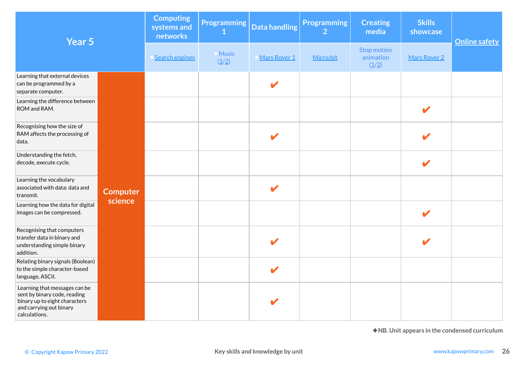| Year 5                                                                                                                                     |                                                          | <b>Computing</b><br>systems and<br>networks | <b>Programming</b> | <b>Data handling</b>  | <b>Programming</b><br>$\overline{2}$ | <b>Creating</b><br>media          | <b>Skills</b><br>showcase | <b>Online safety</b>                          |
|--------------------------------------------------------------------------------------------------------------------------------------------|----------------------------------------------------------|---------------------------------------------|--------------------|-----------------------|--------------------------------------|-----------------------------------|---------------------------|-----------------------------------------------|
|                                                                                                                                            |                                                          | Search engines                              | Music<br>(1/2)     | Mars Rover 1          | Micro:bit                            | Stop motion<br>animation<br>(1/2) | Mars Rover 2              |                                               |
| Learning that external devices<br>can be programmed by a<br>separate computer.                                                             |                                                          |                                             |                    | V                     |                                      |                                   |                           |                                               |
| Learning the difference between<br>ROM and RAM.                                                                                            |                                                          |                                             |                    |                       |                                      |                                   | $\boldsymbol{\nu}$        |                                               |
| Recognising how the size of<br>RAM affects the processing of<br>data.                                                                      |                                                          |                                             |                    | V                     |                                      |                                   |                           |                                               |
| Understanding the fetch,<br>decode, execute cycle.                                                                                         |                                                          |                                             |                    |                       |                                      |                                   | $\mathbf{z}$              |                                               |
| Learning the vocabulary<br>associated with data: data and<br>transmit.                                                                     | <b>Computer</b><br>science                               |                                             |                    | $\blacktriangleright$ |                                      |                                   |                           |                                               |
| Learning how the data for digital<br>images can be compressed.                                                                             |                                                          |                                             |                    |                       |                                      |                                   | V                         |                                               |
| Recognising that computers<br>transfer data in binary and<br>understanding simple binary<br>addition.                                      |                                                          |                                             |                    | $\mathbf{z}$          |                                      |                                   |                           |                                               |
| Relating binary signals (Boolean)<br>to the simple character-based<br>language, ASCII.                                                     |                                                          |                                             |                    | V                     |                                      |                                   |                           |                                               |
| Learning that messages can be<br>sent by binary code, reading<br>binary up to eight characters<br>and carrying out binary<br>calculations. |                                                          |                                             |                    |                       |                                      |                                   |                           |                                               |
|                                                                                                                                            |                                                          |                                             |                    |                       |                                      |                                   |                           | ◆NB. Unit appears in the condensed curriculum |
| © Copyright Kapow Primary 2022                                                                                                             | Key skills and knowledge by unit<br>www.kapowprimary.com |                                             |                    |                       |                                      |                                   |                           |                                               |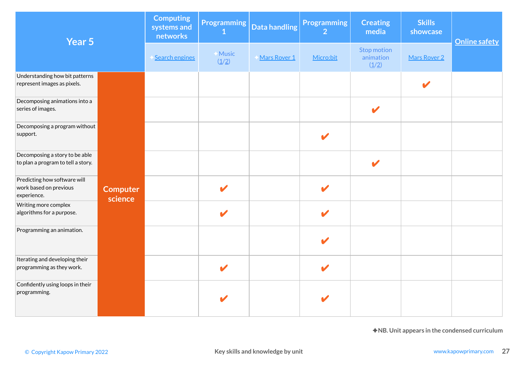| Year 5                                                                |                            | <b>Computing</b><br>systems and<br>networks | <b>Programming</b>     | Data handling                    | <b>Programming</b><br>$\overline{2}$ | <b>Creating</b><br>media          | <b>Skills</b><br>showcase                     | <b>Online safety</b> |
|-----------------------------------------------------------------------|----------------------------|---------------------------------------------|------------------------|----------------------------------|--------------------------------------|-----------------------------------|-----------------------------------------------|----------------------|
|                                                                       |                            | Search engines                              | <b>★Music</b><br>(1/2) | Mars Rover 1                     | Micro:bit                            | Stop motion<br>animation<br>(1/2) | Mars Rover 2                                  |                      |
| Understanding how bit patterns<br>represent images as pixels.         |                            |                                             |                        |                                  |                                      |                                   |                                               |                      |
| Decomposing animations into a<br>series of images.                    |                            |                                             |                        |                                  |                                      | $\mathbf{z}$                      |                                               |                      |
| Decomposing a program without<br>support.                             |                            |                                             |                        |                                  | V                                    |                                   |                                               |                      |
| Decomposing a story to be able<br>to plan a program to tell a story.  |                            |                                             |                        |                                  |                                      | $\boldsymbol{\mathscr{I}}$        |                                               |                      |
| Predicting how software will<br>work based on previous<br>experience. | <b>Computer</b><br>science |                                             | $\mathbf{v}$           |                                  | V                                    |                                   |                                               |                      |
| Writing more complex<br>algorithms for a purpose.                     |                            |                                             | $\mathbf{z}$           |                                  | V                                    |                                   |                                               |                      |
| Programming an animation.                                             |                            |                                             |                        |                                  | V                                    |                                   |                                               |                      |
| Iterating and developing their<br>programming as they work.           |                            |                                             | $\blacktriangledown$   |                                  | V                                    |                                   |                                               |                      |
| Confidently using loops in their<br>programming.                      |                            |                                             |                        |                                  |                                      |                                   |                                               |                      |
|                                                                       |                            |                                             |                        |                                  |                                      |                                   | ◆NB. Unit appears in the condensed curriculum |                      |
| © Copyright Kapow Primary 2022                                        |                            |                                             |                        | Key skills and knowledge by unit |                                      |                                   |                                               | www.kapowprimary.com |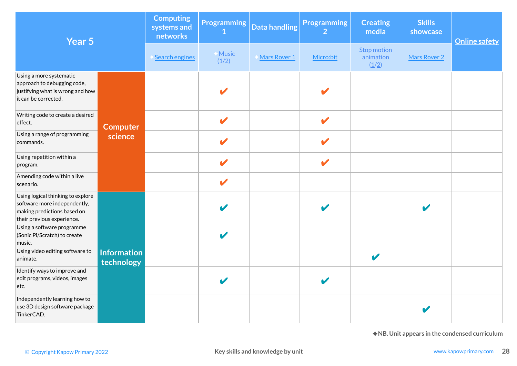| Year 5                                                                                                                         |                                  | <b>Computing</b><br>systems and<br>networks | <b>Programming</b>     | Data handling                    | <b>Programming</b><br>$\overline{2}$ | <b>Creating</b><br>media          | <b>Skills</b><br>showcase | <b>Online safety</b>                          |
|--------------------------------------------------------------------------------------------------------------------------------|----------------------------------|---------------------------------------------|------------------------|----------------------------------|--------------------------------------|-----------------------------------|---------------------------|-----------------------------------------------|
|                                                                                                                                |                                  | Search engines                              | <b>★Music</b><br>(1/2) | Mars Rover 1                     | Micro:bit                            | Stop motion<br>animation<br>(1/2) | Mars Rover 2              |                                               |
| Using a more systematic<br>approach to debugging code,<br>justifying what is wrong and how<br>it can be corrected.             |                                  |                                             |                        |                                  |                                      |                                   |                           |                                               |
| Writing code to create a desired<br>effect.                                                                                    | <b>Computer</b>                  |                                             |                        |                                  | V                                    |                                   |                           |                                               |
| Using a range of programming<br>commands.                                                                                      | science                          |                                             | V                      |                                  | V                                    |                                   |                           |                                               |
| Using repetition within a<br>program.                                                                                          |                                  |                                             | V                      |                                  | V                                    |                                   |                           |                                               |
| Amending code within a live<br>scenario.                                                                                       |                                  |                                             | $\mathbf{v}$           |                                  |                                      |                                   |                           |                                               |
| Using logical thinking to explore<br>software more independently,<br>making predictions based on<br>their previous experience. |                                  |                                             |                        |                                  | $\blacktriangleright$                |                                   |                           |                                               |
| Using a software programme<br>(Sonic Pi/Scratch) to create<br>music.                                                           |                                  |                                             | V                      |                                  |                                      |                                   |                           |                                               |
| Using video editing software to<br>animate.                                                                                    | <b>Information</b><br>technology |                                             |                        |                                  |                                      | V                                 |                           |                                               |
| Identify ways to improve and<br>edit programs, videos, images<br>etc.                                                          |                                  |                                             |                        |                                  |                                      |                                   |                           |                                               |
| Independently learning how to<br>use 3D design software package<br>TinkerCAD.                                                  |                                  |                                             |                        |                                  |                                      |                                   |                           |                                               |
|                                                                                                                                |                                  |                                             |                        |                                  |                                      |                                   |                           | ◆NB. Unit appears in the condensed curriculum |
| © Copyright Kapow Primary 2022                                                                                                 |                                  |                                             |                        | Key skills and knowledge by unit |                                      |                                   |                           | www.kapowprimary.com                          |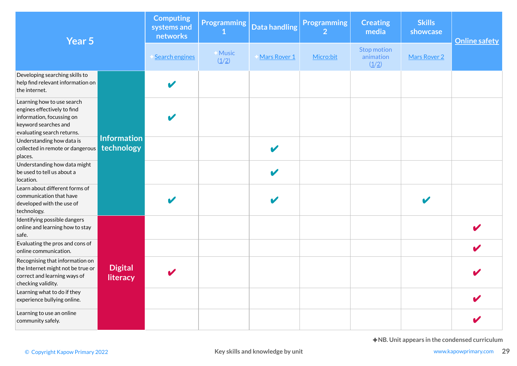| Year 5                                                                                                                                       |                                                                                            | <b>Computing</b><br>systems and<br>networks | <b>Programming</b> | <b>Data handling</b> | <b>Programming</b><br>$\overline{2}$ | <b>Creating</b><br>media          | <b>Skills</b><br>showcase | <b>Online safety</b>                          |
|----------------------------------------------------------------------------------------------------------------------------------------------|--------------------------------------------------------------------------------------------|---------------------------------------------|--------------------|----------------------|--------------------------------------|-----------------------------------|---------------------------|-----------------------------------------------|
|                                                                                                                                              |                                                                                            |                                             | ← Music<br>(1/2)   | Mars Rover 1         | Micro:bit                            | Stop motion<br>animation<br>(1/2) | Mars Rover 2              |                                               |
| Developing searching skills to<br>help find relevant information on<br>the internet.                                                         |                                                                                            |                                             |                    |                      |                                      |                                   |                           |                                               |
| Learning how to use search<br>engines effectively to find<br>information, focussing on<br>keyword searches and<br>evaluating search returns. |                                                                                            |                                             |                    |                      |                                      |                                   |                           |                                               |
| Understanding how data is<br>collected in remote or dangerous<br>places.                                                                     | <b>Information</b><br>technology                                                           |                                             |                    | V                    |                                      |                                   |                           |                                               |
| Understanding how data might<br>be used to tell us about a<br>location.                                                                      |                                                                                            |                                             |                    |                      |                                      |                                   |                           |                                               |
| Learn about different forms of<br>communication that have<br>developed with the use of<br>technology.                                        |                                                                                            |                                             |                    |                      |                                      |                                   |                           |                                               |
| Identifying possible dangers<br>online and learning how to stay<br>safe.                                                                     |                                                                                            |                                             |                    |                      |                                      |                                   |                           |                                               |
| Evaluating the pros and cons of<br>online communication.                                                                                     |                                                                                            |                                             |                    |                      |                                      |                                   |                           |                                               |
| Recognising that information on<br>the Internet might not be true or<br>correct and learning ways of<br>checking validity.                   | <b>Digital</b><br>literacy                                                                 |                                             |                    |                      |                                      |                                   |                           |                                               |
| Learning what to do if they<br>experience bullying online.                                                                                   |                                                                                            |                                             |                    |                      |                                      |                                   |                           |                                               |
| Learning to use an online<br>community safely.                                                                                               |                                                                                            |                                             |                    |                      |                                      |                                   |                           |                                               |
|                                                                                                                                              |                                                                                            |                                             |                    |                      |                                      |                                   |                           | ◆NB. Unit appears in the condensed curriculum |
|                                                                                                                                              | Key skills and knowledge by unit<br>www.kapowprimary.com<br>© Copyright Kapow Primary 2022 |                                             |                    |                      |                                      |                                   |                           |                                               |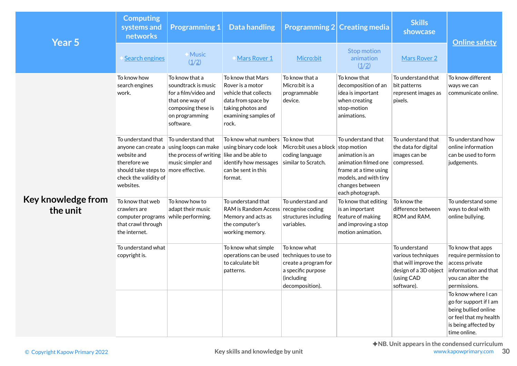| Year 5                         | <b>Computing</b><br>systems and<br>networks                                                                                                              | <b>Programming 1</b>                                                                                                                  | <b>Data handling</b>                                                                                                                       | <b>Programming 2 Creating media</b>                                                                                 |                                                                                                                                                        | <b>Skills</b><br>showcase                                                                                         |                                                                                                                                         |
|--------------------------------|----------------------------------------------------------------------------------------------------------------------------------------------------------|---------------------------------------------------------------------------------------------------------------------------------------|--------------------------------------------------------------------------------------------------------------------------------------------|---------------------------------------------------------------------------------------------------------------------|--------------------------------------------------------------------------------------------------------------------------------------------------------|-------------------------------------------------------------------------------------------------------------------|-----------------------------------------------------------------------------------------------------------------------------------------|
|                                | <b>Search engines</b>                                                                                                                                    | <b>Music</b><br>(1/2)                                                                                                                 | <b>Mars Rover 1</b>                                                                                                                        | Micro:bit                                                                                                           | <b>Stop motion</b><br>animation<br>(1/2)                                                                                                               | Mars Rover 2                                                                                                      | <b>Online safety</b>                                                                                                                    |
|                                | To know how<br>search engines<br>work.                                                                                                                   | To know that a<br>soundtrack is music<br>for a film/video and<br>that one way of<br>composing these is<br>on programming<br>software. | To know that Mars<br>Rover is a motor<br>vehicle that collects<br>data from space by<br>taking photos and<br>examining samples of<br>rock. | To know that a<br>Micro:bit is a<br>programmable<br>device.                                                         | To know that<br>decomposition of an<br>idea is important<br>when creating<br>stop-motion<br>animations.                                                | To understand that<br>bit patterns<br>represent images as<br>pixels.                                              | To know different<br>ways we can<br>communicate online.                                                                                 |
|                                | To understand that<br>anyone can create a<br>website and<br>therefore we<br>should take steps to   more effective.<br>check the validity of<br>websites. | To understand that<br>using loops can make<br>the process of writing<br>music simpler and                                             | To know what numbers<br>using binary code look<br>like and be able to<br>identify how messages<br>can be sent in this<br>format.           | To know that<br>Micro: bit uses a block stop motion<br>coding language<br>similar to Scratch.                       | To understand that<br>animation is an<br>animation filmed one<br>frame at a time using<br>models, and with tiny<br>changes between<br>each photograph. | To understand that<br>the data for digital<br>images can be<br>compressed.                                        | To understand how<br>online information<br>can be used to form<br>judgements.                                                           |
| Key knowledge from<br>the unit | To know that web<br>crawlers are<br>computer programs<br>that crawl through<br>the internet.                                                             | To know how to<br>adapt their music<br>while performing.                                                                              | To understand that<br>RAM is Random Access recognise coding<br>Memory and acts as<br>the computer's<br>working memory.                     | To understand and<br>structures including<br>variables.                                                             | To know that editing<br>is an important<br>feature of making<br>and improving a stop<br>motion animation.                                              | To know the<br>difference between<br>ROM and RAM.                                                                 | To understand some<br>ways to deal with<br>online bullying.                                                                             |
|                                | To understand what<br>copyright is.                                                                                                                      |                                                                                                                                       | To know what simple<br>operations can be used<br>to calculate bit<br>patterns.                                                             | To know what<br>techniques to use to<br>create a program for<br>a specific purpose<br>(including<br>decomposition). |                                                                                                                                                        | To understand<br>various techniques<br>that will improve the<br>design of a 3D object<br>(using CAD<br>software). | To know that apps<br>require permission to<br>access private<br>information and that<br>you can alter the<br>permissions.               |
|                                |                                                                                                                                                          |                                                                                                                                       |                                                                                                                                            |                                                                                                                     |                                                                                                                                                        |                                                                                                                   | To know where I can<br>go for support if I am<br>being bullied online<br>or feel that my health<br>is being affected by<br>time online. |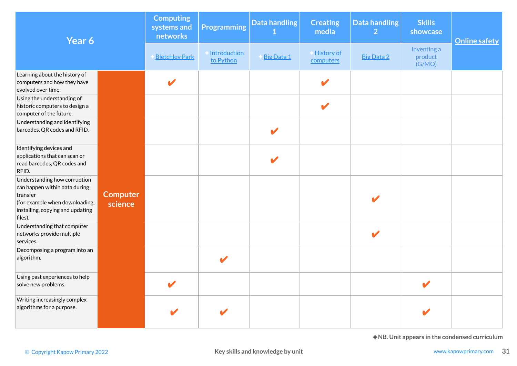| Year 6                                                                                                                                                     |                            | <b>Computing</b><br>systems and<br>networks | <b>Programming</b>        | Data handling<br>1               | <b>Creating</b><br>media   | <b>Data handling</b><br>$\overline{2}$ | <b>Skills</b><br>showcase        | <b>Online safety</b>                                                  |
|------------------------------------------------------------------------------------------------------------------------------------------------------------|----------------------------|---------------------------------------------|---------------------------|----------------------------------|----------------------------|----------------------------------------|----------------------------------|-----------------------------------------------------------------------|
|                                                                                                                                                            |                            | <b>Bletchley Park</b>                       | Introduction<br>to Python | Big Data 1                       | History of<br>computers    | <b>Big Data 2</b>                      | Inventing a<br>product<br>(G/MO) |                                                                       |
| Learning about the history of<br>computers and how they have<br>evolved over time.                                                                         |                            | $\mathbf{v}$                                |                           |                                  | $\boldsymbol{\mathscr{L}}$ |                                        |                                  |                                                                       |
| Using the understanding of<br>historic computers to design a<br>computer of the future.                                                                    |                            |                                             |                           |                                  | $\mathbf{z}$               |                                        |                                  |                                                                       |
| Understanding and identifying<br>barcodes, QR codes and RFID.                                                                                              |                            |                                             |                           | $\mathbf{z}$                     |                            |                                        |                                  |                                                                       |
| Identifying devices and<br>applications that can scan or<br>read barcodes, QR codes and<br>RFID.                                                           |                            |                                             |                           | V                                |                            |                                        |                                  |                                                                       |
| Understanding how corruption<br>can happen within data during<br>transfer<br>(for example when downloading,<br>installing, copying and updating<br>files). | <b>Computer</b><br>science |                                             |                           |                                  |                            |                                        |                                  |                                                                       |
| Understanding that computer<br>networks provide multiple<br>services.                                                                                      |                            |                                             |                           |                                  |                            | $\boldsymbol{\mathscr{I}}$             |                                  |                                                                       |
| Decomposing a program into an<br>algorithm.                                                                                                                |                            |                                             | $\mathbf{v}$              |                                  |                            |                                        |                                  |                                                                       |
| Using past experiences to help<br>solve new problems.                                                                                                      |                            |                                             |                           |                                  |                            |                                        |                                  |                                                                       |
| Writing increasingly complex<br>algorithms for a purpose.                                                                                                  |                            | $\blacktriangleright$                       |                           |                                  |                            |                                        |                                  |                                                                       |
| © Copyright Kapow Primary 2022                                                                                                                             |                            |                                             |                           | Key skills and knowledge by unit |                            |                                        |                                  | ◆NB. Unit appears in the condensed curriculum<br>www.kapowprimary.com |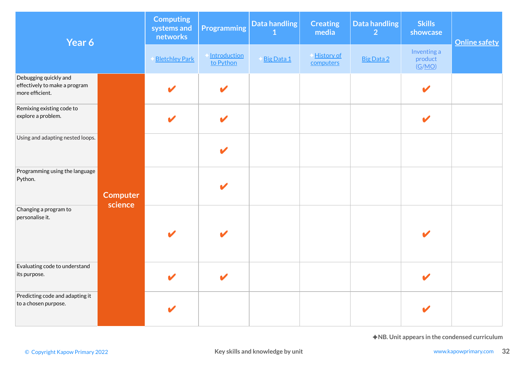| Year 6                                                                    |                            | <b>Computing</b><br>systems and<br>networks | <b>Programming</b>        | Data handling                    | <b>Creating</b><br>media | Data handling<br>$\overline{2}$ | <b>Skills</b><br>showcase        | <b>Online safety</b>                                                  |
|---------------------------------------------------------------------------|----------------------------|---------------------------------------------|---------------------------|----------------------------------|--------------------------|---------------------------------|----------------------------------|-----------------------------------------------------------------------|
|                                                                           |                            | <b>Bletchley Park</b>                       | Introduction<br>to Python | Big Data 1                       | History of<br>computers  | <b>Big Data 2</b>               | Inventing a<br>product<br>(G/MO) |                                                                       |
| Debugging quickly and<br>effectively to make a program<br>more efficient. |                            | V                                           | $\blacktriangleright$     |                                  |                          |                                 |                                  |                                                                       |
| Remixing existing code to<br>explore a problem.                           |                            | V                                           | $\blacktriangleright$     |                                  |                          |                                 | $\mathbf{z}$                     |                                                                       |
| Using and adapting nested loops.                                          |                            |                                             |                           |                                  |                          |                                 |                                  |                                                                       |
| Programming using the language<br>Python.                                 | <b>Computer</b><br>science |                                             |                           |                                  |                          |                                 |                                  |                                                                       |
| Changing a program to<br>personalise it.                                  |                            |                                             |                           |                                  |                          |                                 |                                  |                                                                       |
| Evaluating code to understand<br>its purpose.                             |                            |                                             |                           |                                  |                          |                                 |                                  |                                                                       |
| Predicting code and adapting it<br>to a chosen purpose.                   |                            |                                             |                           |                                  |                          |                                 |                                  |                                                                       |
| © Copyright Kapow Primary 2022                                            |                            |                                             |                           | Key skills and knowledge by unit |                          |                                 |                                  | ◆NB. Unit appears in the condensed curriculum<br>www.kapowprimary.com |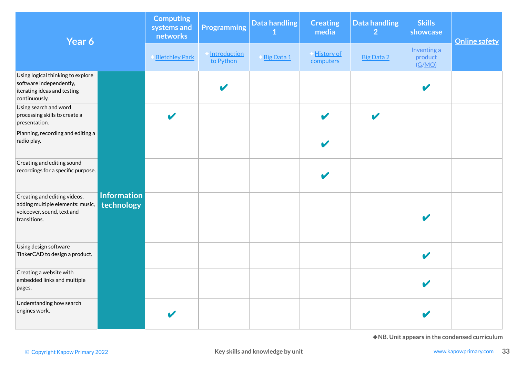| Year 6                                                                                                                                      |                                  | <b>Computing</b><br>systems and<br>networks | Programming               | Data handling | <b>Creating</b><br>media | Data handling<br>$\overline{2}$ | <b>Skills</b><br>showcase        | <b>Online safety</b> |
|---------------------------------------------------------------------------------------------------------------------------------------------|----------------------------------|---------------------------------------------|---------------------------|---------------|--------------------------|---------------------------------|----------------------------------|----------------------|
|                                                                                                                                             |                                  | <b>Bletchley Park</b>                       | Introduction<br>to Python | Big Data 1    | History of<br>computers  | <b>Big Data 2</b>               | Inventing a<br>product<br>(G/MO) |                      |
| Using logical thinking to explore<br>software independently,<br>iterating ideas and testing<br>continuously.                                |                                  |                                             |                           |               |                          |                                 |                                  |                      |
| Using search and word<br>processing skills to create a<br>presentation.                                                                     |                                  | V                                           |                           |               | $\blacktriangledown$     | $\boldsymbol{\mathscr{C}}$      |                                  |                      |
| Planning, recording and editing a<br>radio play.                                                                                            |                                  |                                             |                           |               |                          |                                 |                                  |                      |
| Creating and editing sound<br>recordings for a specific purpose.                                                                            |                                  |                                             |                           |               |                          |                                 |                                  |                      |
| Creating and editing videos,<br>adding multiple elements: music,<br>voiceover, sound, text and<br>transitions.                              | <b>Information</b><br>technology |                                             |                           |               |                          |                                 |                                  |                      |
| Using design software<br>TinkerCAD to design a product.                                                                                     |                                  |                                             |                           |               |                          |                                 |                                  |                      |
| Creating a website with<br>embedded links and multiple<br>pages.                                                                            |                                  |                                             |                           |               |                          |                                 |                                  |                      |
| Understanding how search<br>engines work.                                                                                                   |                                  | V                                           |                           |               |                          |                                 | $\boldsymbol{\nu}$               |                      |
| ◆NB. Unit appears in the condensed curriculum<br>Key skills and knowledge by unit<br>www.kapowprimary.com<br>© Copyright Kapow Primary 2022 |                                  |                                             |                           |               |                          |                                 |                                  |                      |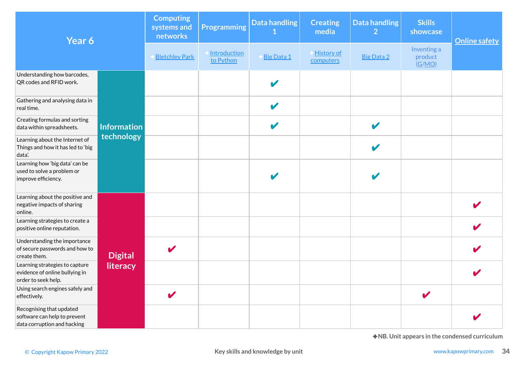| Year 6                                                                                  |                                                                                                           | <b>Computing</b><br>systems and<br>networks | <b>Programming</b>        | Data handling<br>1    | <b>Creating</b><br>media | <b>Data handling</b><br>$\overline{2}$ | <b>Skills</b><br>showcase        | <b>Online safety</b> |  |
|-----------------------------------------------------------------------------------------|-----------------------------------------------------------------------------------------------------------|---------------------------------------------|---------------------------|-----------------------|--------------------------|----------------------------------------|----------------------------------|----------------------|--|
|                                                                                         |                                                                                                           | <b>Bletchley Park</b>                       | Introduction<br>to Python | Big Data 1            | History of<br>computers  | Big Data 2                             | Inventing a<br>product<br>(G/MO) |                      |  |
| Understanding how barcodes,<br>QR codes and RFID work.                                  |                                                                                                           |                                             |                           |                       |                          |                                        |                                  |                      |  |
| Gathering and analysing data in<br>real time.                                           |                                                                                                           |                                             |                           |                       |                          |                                        |                                  |                      |  |
| Creating formulas and sorting<br>data within spreadsheets.                              | <b>Information</b>                                                                                        |                                             |                           | $\blacktriangleright$ |                          | $\boldsymbol{\mathscr{L}}$             |                                  |                      |  |
| Learning about the Internet of<br>Things and how it has led to 'big<br>data'.           | technology                                                                                                |                                             |                           |                       |                          |                                        |                                  |                      |  |
| Learning how 'big data' can be<br>used to solve a problem or<br>improve efficiency.     |                                                                                                           |                                             |                           |                       |                          |                                        |                                  |                      |  |
| Learning about the positive and<br>negative impacts of sharing<br>online.               |                                                                                                           |                                             |                           |                       |                          |                                        |                                  |                      |  |
| Learning strategies to create a<br>positive online reputation.                          |                                                                                                           |                                             |                           |                       |                          |                                        |                                  |                      |  |
| Understanding the importance<br>of secure passwords and how to<br>create them.          | <b>Digital</b>                                                                                            | V                                           |                           |                       |                          |                                        |                                  |                      |  |
| Learning strategies to capture<br>evidence of online bullying in<br>order to seek help. | literacy                                                                                                  |                                             |                           |                       |                          |                                        |                                  |                      |  |
| Using search engines safely and<br>effectively.                                         |                                                                                                           |                                             |                           |                       |                          |                                        |                                  |                      |  |
| Recognising that updated<br>software can help to prevent<br>data corruption and hacking |                                                                                                           |                                             |                           |                       |                          |                                        |                                  |                      |  |
| © Copyright Kapow Primary 2022                                                          | ◆NB. Unit appears in the condensed curriculum<br>Key skills and knowledge by unit<br>www.kapowprimary.com |                                             |                           |                       |                          |                                        |                                  |                      |  |